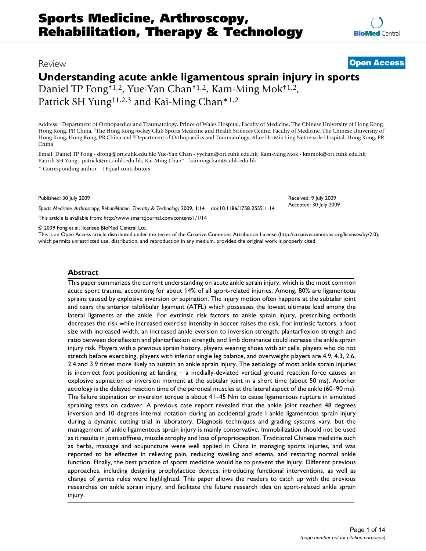# Review **[Open Access](http://www.biomedcentral.com/info/about/charter/)**

# **Understanding acute ankle ligamentous sprain injury in sports**

Daniel TP Fong†1,2, Yue-Yan Chan†1,2, Kam-Ming Mok†1,2, Patrick SH Yung<sup>†1,2,3</sup> and Kai-Ming Chan<sup>\*1,2</sup>

Address: 1Department of Orthopaedics and Traumatology, Prince of Wales Hospital, Faculty of Medicine, The Chinese University of Hong Kong, Hong Kong, PR China, 2The Hong Kong Jockey Club Sports Medicine and Health Sciences Centre, Faculty of Medicine, The Chinese University of Hong Kong, Hong Kong, PR China and 3Department of Orthopaedics and Traumatology, Alice Ho Miu Ling Nethersole Hospital, Hong Kong, PR China

Email: Daniel TP Fong - dfong@ort.cuhk.edu.hk; Yue-Yan Chan - yychan@ort.cuhk.edu.hk; Kam-Ming Mok - kmmok@ort.cuhk.edu.hk; Patrick SH Yung - patrick@ort.cuhk.edu.hk; Kai-Ming Chan\* - kaimingchan@cuhk.edu.hk

\* Corresponding author †Equal contributors

Published: 30 July 2009

*Sports Medicine, Arthroscopy, Rehabilitation, Therapy & Technology* 2009, **1**:14 doi:10.1186/1758-2555-1-14

Received: 9 July 2009 Accepted: 30 July 2009

© 2009 Fong et al; licensee BioMed Central Ltd.

[This article is available from: http://www.smarttjournal.com/content/1/1/14](http://www.smarttjournal.com/content/1/1/14)

This is an Open Access article distributed under the terms of the Creative Commons Attribution License [\(http://creativecommons.org/licenses/by/2.0\)](http://creativecommons.org/licenses/by/2.0), which permits unrestricted use, distribution, and reproduction in any medium, provided the original work is properly cited.

### **Abstract**

This paper summarizes the current understanding on acute ankle sprain injury, which is the most common acute sport trauma, accounting for about 14% of all sport-related injuries. Among, 80% are ligamentous sprains caused by explosive inversion or supination. The injury motion often happens at the subtalar joint and tears the anterior talofibular ligament (ATFL) which possesses the lowest ultimate load among the lateral ligaments at the ankle. For extrinsic risk factors to ankle sprain injury, prescribing orthosis decreases the risk while increased exercise intensity in soccer raises the risk. For intrinsic factors, a foot size with increased width, an increased ankle eversion to inversion strength, plantarflexion strength and ratio between dorsiflexion and plantarflexion strength, and limb dominance could increase the ankle sprain injury risk. Players with a previous sprain history, players wearing shoes with air cells, players who do not stretch before exercising, players with inferior single leg balance, and overweight players are 4.9, 4.3, 2.6, 2.4 and 3.9 times more likely to sustain an ankle sprain injury. The aetiology of most ankle sprain injuries is incorrect foot positioning at landing – a medially-deviated vertical ground reaction force causes an explosive supination or inversion moment at the subtalar joint in a short time (about 50 ms). Another aetiology is the delayed reaction time of the peroneal muscles at the lateral aspect of the ankle (60–90 ms). The failure supination or inversion torque is about 41–45 Nm to cause ligamentous rupture in simulated spraining tests on cadaver. A previous case report revealed that the ankle joint reached 48 degrees inversion and 10 degrees internal rotation during an accidental grade I ankle ligamentous sprain injury during a dynamic cutting trial in laboratory. Diagnosis techniques and grading systems vary, but the management of ankle ligamentous sprain injury is mainly conservative. Immobilization should not be used as it results in joint stiffness, muscle atrophy and loss of proprioception. Traditional Chinese medicine such as herbs, massage and acupuncture were well applied in China in managing sports injuries, and was reported to be effective in relieving pain, reducing swelling and edema, and restoring normal ankle function. Finally, the best practice of sports medicine would be to prevent the injury. Different previous approaches, including designing prophylactice devices, introducing functional interventions, as well as change of games rules were highlighted. This paper allows the readers to catch up with the previous researches on ankle sprain injury, and facilitate the future research idea on sport-related ankle sprain injury.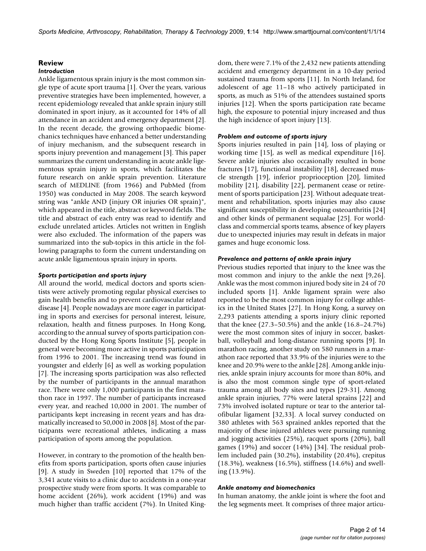# **Review**

## *Introduction*

Ankle ligamentous sprain injury is the most common single type of acute sport trauma [1]. Over the years, various preventive strategies have been implemented, however, a recent epidemiology revealed that ankle sprain injury still dominated in sport injury, as it accounted for 14% of all attendance in an accident and emergency department [2]. In the recent decade, the growing orthopaedic biomechanics techniques have enhanced a better understanding of injury mechanism, and the subsequent research in sports injury prevention and management [3]. This paper summarizes the current understanding in acute ankle ligementous sprain injury in sports, which facilitates the future research on ankle sprain prevention. Literature search of MEDLINE (from 1966) and PubMed (from 1950) was conducted in May 2008. The search keyword string was "ankle AND (injury OR injuries OR sprain)", which appeared in the title, abstract or keyword fields. The title and abstract of each entry was read to identify and exclude unrelated articles. Articles not written in English were also excluded. The information of the papers was summarized into the sub-topics in this article in the following paragraphs to form the current understanding on acute ankle ligamentous sprain injury in sports.

# *Sports participation and sports injury*

All around the world, medical doctors and sports scientists were actively promoting regular physical exercises to gain health benefits and to prevent cardiovascular related disease [4]. People nowadays are more eager in participating in sports and exercises for personal interest, leisure, relaxation, health and fitness purposes. In Hong Kong, according to the annual survey of sports participation conducted by the Hong Kong Sports Institute [5], people in general were becoming more active in sports participation from 1996 to 2001. The increasing trend was found in youngster and elderly [6] as well as working population [7]. The increasing sports participation was also reflected by the number of participants in the annual marathon race. There were only 1,000 participants in the first marathon race in 1997. The number of participants increased every year, and reached 10,000 in 2001. The number of participants kept increasing in recent years and has dramatically increased to 50,000 in 2008 [8]. Most of the participants were recreational athletes, indicating a mass participation of sports among the population.

However, in contrary to the promotion of the health benefits from sports participation, sports often cause injuries [9]. A study in Sweden [10] reported that 17% of the 3,341 acute visits to a clinic due to accidents in a one-year prospective study were from sports. It was comparable to home accident (26%), work accident (19%) and was much higher than traffic accident (7%). In United Kingdom, there were 7.1% of the 2,432 new patients attending accident and emergency department in a 10-day period sustained trauma from sports [11]. In North Ireland, for adolescent of age 11–18 who actively participated in sports, as much as 51% of the attendees sustained sports injuries [12]. When the sports participation rate became high, the exposure to potential injury increased and thus the high incidence of sport injury [13].

# *Problem and outcome of sports injury*

Sports injuries resulted in pain [14], loss of playing or working time [15], as well as medical expenditure [16]. Severe ankle injuries also occasionally resulted in bone fractures [17], functional instability [18], decreased muscle strength [19], inferior proprioception [20], limited mobility [21], disability [22], permanent cease or retirement of sports participation [23]. Without adequate treatment and rehabilitation, sports injuries may also cause significant susceptibility in developing osteoarthritis [24] and other kinds of permanent sequalae [25]. For worldclass and commercial sports teams, absence of key players due to unexpected injuries may result in defeats in major games and huge economic loss.

## *Prevalence and patterns of ankle sprain injury*

Previous studies reported that injury to the knee was the most common and injury to the ankle the next [9,26]. Ankle was the most common injured body site in 24 of 70 included sports [1]. Ankle ligament sprain were also reported to be the most common injury for college athletics in the United States [27]. In Hong Kong, a survey on 2,293 patients attending a sports injury clinic reported that the knee (27.3–50.5%) and the ankle (16.8–24.7%) were the most common sites of injury in soccer, basketball, volleyball and long-distance running sports [9]. In marathon racing, another study on 580 runners in a marathon race reported that 33.9% of the injuries were to the knee and 20.9% were to the ankle [28]. Among ankle injuries, ankle sprain injury accounts for more than 80%, and is also the most common single type of sport-related trauma among all body sites and types [29-31]. Among ankle sprain injuries, 77% were lateral sprains [22] and 73% involved isolated rupture or tear to the anterior talofibular ligament [32,33]. A local survey conducted on 380 athletes with 563 sprained ankles reported that the majority of these injured athletes were pursuing running and jogging activities (25%), racquet sports (20%), ball games (19%) and soccer (14%) [34]. The residual problem included pain (30.2%), instability (20.4%), crepitus (18.3%), weakness (16.5%), stiffness (14.6%) and swelling (13.9%).

### *Ankle anatomy and biomechanics*

In human anatomy, the ankle joint is where the foot and the leg segments meet. It comprises of three major articu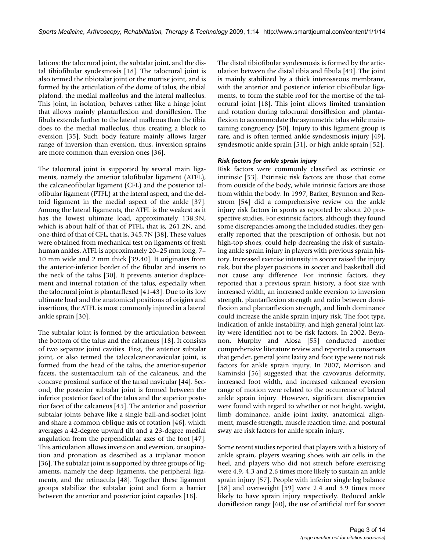lations: the talocrural joint, the subtalar joint, and the distal tibiofibular syndesmosis [18]. The talocrural joint is also termed the tibiotalar joint or the mortise joint, and is formed by the articulation of the dome of talus, the tibial plafond, the medial malleolus and the lateral malleolus. This joint, in isolation, behaves rather like a hinge joint that allows mainly plantarflexion and dorsiflexion. The fibula extends further to the lateral malleous than the tibia does to the medial malleolus, thus creating a block to eversion [35]. Such body feature mainly allows larger range of inversion than eversion, thus, inversion sprains are more common than eversion ones [36].

The talocrural joint is supported by several main ligaments, namely the anterior talofibular ligament (ATFL), the calcaneofibular ligament (CFL) and the posterior talofibular ligament (PTFL) at the lateral aspect, and the deltoid ligament in the medial aspect of the ankle [37]. Among the lateral ligaments, the ATFL is the weakest as it has the lowest ultimate load, approximately 138.9N, which is about half of that of PTFL, that is, 261.2N, and one-third of that of CFL, that is, 345.7N [38]. These values were obtained from mechanical test on ligaments of fresh human ankles. ATFL is approximately 20–25 mm long, 7– 10 mm wide and 2 mm thick [39,40]. It originates from the anterior-inferior border of the fibular and inserts to the neck of the talus [30]. It prevents anterior displacement and internal rotation of the talus, especially when the talocrural joint is plantarflexed [41-43]. Due to its low ultimate load and the anatomical positions of origins and insertions, the ATFL is most commonly injured in a lateral ankle sprain [30].

The subtalar joint is formed by the articulation between the bottom of the talus and the calcaneus [18]. It consists of two separate joint cavities. First, the anterior subtalar joint, or also termed the talocalcaneonavicular joint, is formed from the head of the talus, the anterior-superior facets, the sustentaculum tali of the calcaneus, and the concave proximal surface of the tarsal navicular [44]. Second, the posterior subtalar joint is formed between the inferior posterior facet of the talus and the superior posterior facet of the calcaneus [45]. The anterior and posterior subtalar joints behave like a single ball-and-socket joint and share a common oblique axis of rotation [46], which averages a 42-degree upward tilt and a 23-degree medial angulation from the perpendicular axes of the foot [47]. This articulation allows inversion and eversion, or supination and pronation as described as a triplanar motion [36]. The subtalar joint is supported by three groups of ligaments, namely the deep ligaments, the peripheral ligaments, and the retinacula [48]. Together these ligament groups stabilize the subtalar joint and form a barrier between the anterior and posterior joint capsules [18].

The distal tibiofibular syndesmosis is formed by the articulation between the distal tibia and fibula [49]. The joint is mainly stabilized by a thick interosseous membrane, with the anterior and posterior inferior tibiofibular ligaments, to form the stable roof for the mortise of the talocrural joint [18]. This joint allows limited translation and rotation during talocrural dorsiflexion and plantarflexion to accommodate the asymmetric talus while maintaining congruency [50]. Injury to this ligament group is rare, and is often termed ankle syndesmosis injury [49], syndesmotic ankle sprain [51], or high ankle sprain [52].

# *Risk factors for ankle sprain injury*

Risk factors were commonly classified as extrinsic or intrinsic [53]. Extrinsic risk factors are those that come from outside of the body, while intrinsic factors are those from within the body. In 1997, Barker, Beynnon and Renstrom [54] did a comprehensive review on the ankle injury risk factors in sports as reported by about 20 prospective studies. For extrinsic factors, although they found some discrepancies among the included studies, they generally reported that the prescription of orthosis, but not high-top shoes, could help decreasing the risk of sustaining ankle sprain injury in players with previous sprain history. Increased exercise intensity in soccer raised the injury risk, but the player positions in soccer and basketball did not cause any difference. For intrinsic factors, they reported that a previous sprain history, a foot size with increased width, an increased ankle eversion to inversion strength, plantarflexion strength and ratio between dorsiflexion and plantarflexion strength, and limb dominance could increase the ankle sprain injury risk. The foot type, indication of ankle instability, and high general joint laxity were identified not to be risk factors. In 2002, Beynnon, Murphy and Alosa [55] conducted another comprehensive literature review and reported a consensus that gender, general joint laxity and foot type were not risk factors for ankle sprain injury. In 2007, Morrison and Kaminski [56] suggested that the cavovarus deformity, increased foot width, and increased calcaneal eversion range of motion were related to the occurrence of lateral ankle sprain injury. However, significant discrepancies were found with regard to whether or not height, weight, limb dominance, ankle joint laxity, anatomical alignment, muscle strength, muscle reaction time, and postural sway are risk factors for ankle sprain injury.

Some recent studies reported that players with a history of ankle sprain, players wearing shoes with air cells in the heel, and players who did not stretch before exercising were 4.9, 4.3 and 2.6 times more likely to sustain an ankle sprain injury [57]. People with inferior single leg balance [58] and overweight [59] were 2.4 and 3.9 times more likely to have sprain injury respectively. Reduced ankle dorsiflexion range [60], the use of artificial turf for soccer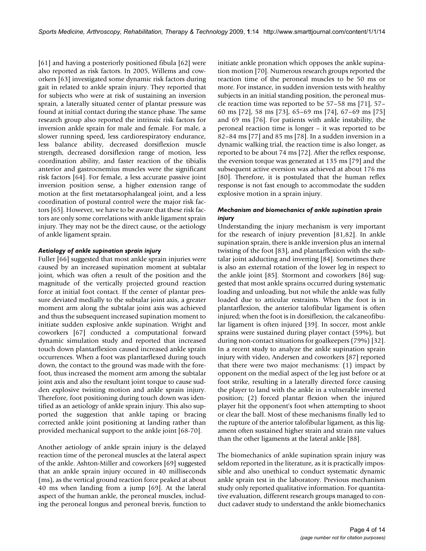[61] and having a posteriorly positioned fibula [62] were also reported as risk factors. In 2005, Willems and coworkers [63] investigated some dynamic risk factors during gait in related to ankle sprain injury. They reported that for subjects who were at risk of sustaining an inversion sprain, a laterally situated center of plantar pressure was found at initial contact during the stance phase. The same research group also reported the intrinsic risk factors for inversion ankle sprain for male and female. For male, a slower running speed, less cardiorespiratory endurance, less balance ability, decreased dorsiflexion muscle strength, decreased dorsiflexion range of motion, less coordination ability, and faster reaction of the tibialis anterior and gastrocnemius muscles were the significant risk factors [64]. For female, a less accurate passive joint inversion position sense, a higher extension range of motion at the first metatarsophalangeal joint, and a less coordination of postural control were the major risk factors [65]. However, we have to be aware that these risk factors are only some correlations with ankle ligament sprain injury. They may not be the direct cause, or the aetiology of ankle ligament sprain.

# *Aetiology of ankle supination sprain injury*

Fuller [66] suggested that most ankle sprain injuries were caused by an increased supination moment at subtalar joint, which was often a result of the position and the magnitude of the vertically projected ground reaction force at initial foot contact. If the center of plantar pressure deviated medially to the subtalar joint axis, a greater moment arm along the subtalar joint axis was achieved and thus the subsequent increased supination moment to initiate sudden explosive ankle supination. Wright and coworkers [67] conducted a computational forward dynamic simulation study and reported that increased touch down plantarflexion caused increased ankle sprain occurrences. When a foot was plantarflexed during touch down, the contact to the ground was made with the forefoot, thus increased the moment arm among the subtalar joint axis and also the resultant joint torque to cause sudden explosive twisting motion and ankle sprain injury. Therefore, foot positioning during touch down was identified as an aetiology of ankle sprain injury. This also supported the suggestion that ankle taping or bracing corrected ankle joint positioning at landing rather than provided mechanical support to the ankle joint [68-70].

Another aetiology of ankle sprain injury is the delayed reaction time of the peroneal muscles at the lateral aspect of the ankle. Ashton-Miller and coworkers [69] suggested that an ankle sprain injury occured in 40 milliseconds (ms), as the vertical ground reaction force peaked at about 40 ms when landing from a jump [69]. At the lateral aspect of the human ankle, the peroneal muscles, including the peroneal longus and peroneal brevis, function to

initiate ankle pronation which opposes the ankle supination motion [70]. Numerous research groups reported the reaction time of the peroneal muscles to be 50 ms or more. For instance, in sudden inversion tests with healthy subjects in an initial standing position, the peroneal muscle reaction time was reported to be 57–58 ms [71], 57– 60 ms [72], 58 ms [73], 65–69 ms [74], 67–69 ms [75] and 69 ms [76]. For patients with ankle instability, the peroneal reaction time is longer – it was reported to be 82–84 ms [77] and 85 ms [78]. In a sudden inversion in a dynamic walking trial, the reaction time is also longer, as reported to be about 74 ms [72]. After the reflex response, the eversion torque was generated at 135 ms [79] and the subsequent active eversion was achieved at about 176 ms [80]. Therefore, it is postulated that the human reflex response is not fast enough to accommodate the sudden explosive motion in a sprain injury.

# *Mechanism and biomechanics of ankle supination sprain injury*

Understanding the injury mechanism is very important for the research of injury prevention [81,82]. In ankle supination sprain, there is ankle inversion plus an internal twisting of the foot [83], and plantarflexion with the subtalar joint adducting and inverting [84]. Sometimes there is also an external rotation of the lower leg in respect to the ankle joint [85]. Stormont and coworkers [86] suggested that most ankle sprains occurred during systematic loading and unloading, but not while the ankle was fully loaded due to articular restraints. When the foot is in plantarflexion, the anterior talofibular ligament is often injured; when the foot is in dorsiflexion, the calcaneofibular ligament is often injured [39]. In soccer, most ankle sprains were sustained during player contact (59%), but during non-contact situations for goalkeepers (79%) [32]. In a recent study to analyze the ankle supination sprain injury with video, Andersen and coworkers [87] reported that there were two major mechanisms: (1) impact by opponent on the medial aspect of the leg just before or at foot strike, resulting in a laterally directed force causing the player to land with the ankle in a vulnerable inverted position; (2) forced plantar flexion when the injured player hit the opponent's foot when attempting to shoot or clear the ball. Most of these mechanisms finally led to the rupture of the anterior talofibular ligament, as this ligament often sustained higher strain and strain rate values than the other ligaments at the lateral ankle [88].

The biomechanics of ankle supination sprain injury was seldom reported in the literature, as it is practically impossible and also unethical to conduct systematic dynamic ankle sprain test in the laboratory. Previous mechanism study only reported qualitative information. For quantitative evaluation, different research groups managed to conduct cadaver study to understand the ankle biomechanics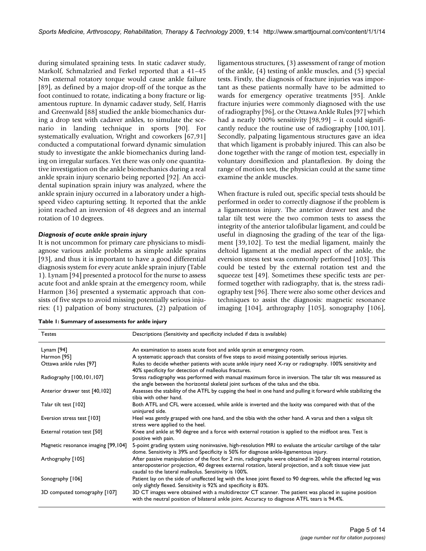during simulated spraining tests. In static cadaver study, Markolf, Schmalzried and Ferkel reported that a 41–45 Nm external rotatory torque would cause ankle failure [89], as defined by a major drop-off of the torque as the foot continued to rotate, indicating a bony fracture or ligamentous rupture. In dynamic cadaver study, Self, Harris and Greenwald [88] studied the ankle biomechanics during a drop test with cadaver ankles, to simulate the scenario in landing technique in sports [90]. For systematically evaluation, Wright and coworkers [67,91] conducted a computational forward dynamic simulation study to investigate the ankle biomechanics during landing on irregular surfaces. Yet there was only one quantitative investigation on the ankle biomechanics during a real ankle sprain injury scenario being reported [92]. An accidental supination sprain injury was analyzed, where the ankle sprain injury occurred in a laboratory under a highspeed video capturing setting. It reported that the ankle joint reached an inversion of 48 degrees and an internal rotation of 10 degrees.

# *Diagnosis of acute ankle sprain injury*

It is not uncommon for primary care physicians to misdiagnose various ankle problems as simple ankle sprains [93], and thus it is important to have a good differential diagnosis system for every acute ankle sprain injury (Table 1). Lynam [94] presented a protocol for the nurse to assess acute foot and ankle sprain at the emergency room, while Harmon [36] presented a systematic approach that consists of five steps to avoid missing potentially serious injuries: (1) palpation of bony structures, (2) palpation of

| Table 1: Summary of assessments for ankle injury |  |  |
|--------------------------------------------------|--|--|
|--------------------------------------------------|--|--|

ligamentous structures, (3) assessment of range of motion of the ankle, (4) testing of ankle muscles, and (5) special tests. Firstly, the diagnosis of fracture injuries was important as these patients normally have to be admitted to wards for emergency operative treatments [95]. Ankle fracture injuries were commonly diagnosed with the use of radiography [96], or the Ottawa Ankle Rules [97] which had a nearly 100% sensitivity [98,99] – it could significantly reduce the routine use of radiography [100,101]. Secondly, palpating ligamentous structures gave an idea that which ligament is probably injured. This can also be done together with the range of motion test, especially in voluntary dorsiflexion and plantaflexion. By doing the range of motion test, the physician could at the same time examine the ankle muscles.

When fracture is ruled out, specific special tests should be performed in order to correctly diagnose if the problem is a ligamentous injury. The anterior drawer test and the talar tilt test were the two common tests to assess the integrity of the anterior talofibular ligament, and could be useful in diagnosing the grading of the tear of the ligament [39,102]. To test the medial ligament, mainly the deltoid ligament at the medial aspect of the ankle, the eversion stress test was commonly performed [103]. This could be tested by the external rotation test and the squeeze test [49]. Sometimes these specific tests are performed together with radiography, that is, the stress radiography test [96]. There were also some other devices and techniques to assist the diagnosis: magnetic resonance imaging [104], arthrography [105], sonography [106],

| <b>Testes</b>                       | Descriptions (Sensitivity and specificity included if data is available)                                                                                                                                                                                                           |  |
|-------------------------------------|------------------------------------------------------------------------------------------------------------------------------------------------------------------------------------------------------------------------------------------------------------------------------------|--|
| Lynam $[94]$                        | An examination to assess acute foot and ankle sprain at emergency room.                                                                                                                                                                                                            |  |
| Harmon [95]                         | A systematic approach that consists of five steps to avoid missing potentially serious injuries.                                                                                                                                                                                   |  |
| Ottawa ankle rules [97]             | Rules to decide whether patients with acute ankle injury need X-ray or radiography. 100% sensitivity and<br>40% specificity for detection of malleolus fractures.                                                                                                                  |  |
| Radiography [100,101,107]           | Stress radiography was performed with manual maximum force in inversion. The talar tilt was measured as<br>the angle between the horizontal skeletal joint surfaces of the talus and the tibia.                                                                                    |  |
| Anterior drawer test [40,102]       | Assesses the stability of the ATFL by cupping the heel in one hand and pulling it forward while stabilizing the<br>tibia with other hand.                                                                                                                                          |  |
| Talar tilt test [102]               | Both ATFL and CFL were accessed, while ankle is inverted and the laxity was compared with that of the<br>uninjured side.                                                                                                                                                           |  |
| Eversion stress test [103]          | Heel was gently grasped with one hand, and the tibia with the other hand. A varus and then a valgus tilt<br>stress were applied to the heel.                                                                                                                                       |  |
| External rotation test [50]         | Knee and ankle at 90 degree and a force with external rotation is applied to the midfoot area. Test is<br>positive with pain.                                                                                                                                                      |  |
| Magnetic resonance imaging [99,104] | 5-point grading system using noninvasive, high-resolution MRI to evaluate the articular cartilage of the talar<br>dome. Sensitivity is 39% and Specificity is 50% for diagnose ankle-ligamentous injury.                                                                           |  |
| Arthography [105]                   | After passive manipulation of the foot for 2 min, radiographs were obtained in 20 degrees internal rotation,<br>anteroposterior projection, 40 degrees external rotation, lateral projection, and a soft tissue view just<br>caudal to the lateral malleolus. Sensitivity is 100%. |  |
| Sonography [106]                    | Patient lay on the side of unaffected leg with the knee joint flexed to 90 degrees, while the affected leg was<br>only slightly flexed. Sensitivity is 92% and specificity is 83%.                                                                                                 |  |
| 3D computed tomography [107]        | 3D CT images were obtained with a multidirector CT scanner. The patient was placed in supine position<br>with the neutral position of bilateral ankle joint. Accuracy to diagnose ATFL tears is 94.4%.                                                                             |  |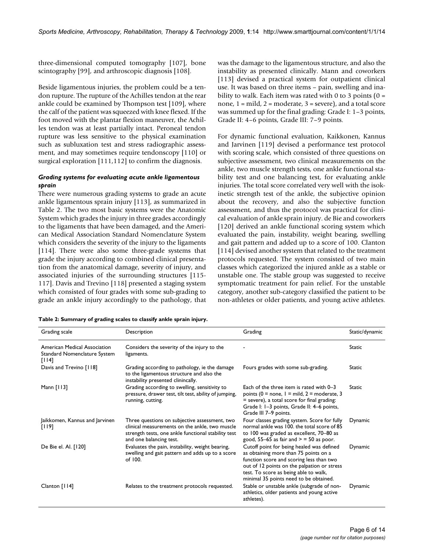three-dimensional computed tomography [107], bone scintography [99], and arthroscopic diagnosis [108].

Beside ligamentous injuries, the problem could be a tendon rupture. The rupture of the Achilles tendon at the rear ankle could be examined by Thompson test [109], where the calf of the patient was squeezed with knee flexed. If the foot moved with the plantar flexion maneuver, the Achilles tendon was at least partially intact. Peroneal tendon rupture was less sensitive to the physical examination such as subluxation test and stress radiographic assessment, and may sometimes require tendonscopy [110] or surgical exploration [111,112] to confirm the diagnosis.

# *Grading systems for evaluating acute ankle ligamentous sprain*

There were numerous grading systems to grade an acute ankle ligamentous sprain injury [113], as summarized in Table 2. The two most basic systems were the Anatomic System which grades the injury in three grades accordingly to the ligaments that have been damaged, and the American Medical Association Standard Nomenclature System which considers the severity of the injury to the ligaments [114]. There were also some three-grade systems that grade the injury according to combined clinical presentation from the anatomical damage, severity of injury, and associated injuries of the surrounding structures [115- 117]. Davis and Trevino [118] presented a staging system which consisted of four grades with some sub-grading to grade an ankle injury accordingly to the pathology, that was the damage to the ligamentous structure, and also the instability as presented clinically. Mann and coworkers [113] devised a practical system for outpatient clinical use. It was based on three items – pain, swelling and inability to walk. Each item was rated with 0 to 3 points  $(0 =$ none,  $1 = \text{mild}$ ,  $2 = \text{moderate}$ ,  $3 = \text{severe}$ , and a total score was summed up for the final grading: Grade I: 1–3 points, Grade II: 4–6 points, Grade III: 7–9 points.

For dynamic functional evaluation, Kaikkonen, Kannus and Jarvinen [119] devised a performance test protocol with scoring scale, which consisted of three questions on subjective assessment, two clinical measurements on the ankle, two muscle strength tests, one ankle functional stability test and one balancing test, for evaluating ankle injuries. The total score correlated very well with the isokinetic strength test of the ankle, the subjective opinion about the recovery, and also the subjective function assessment, and thus the protocol was practical for clinical evaluation of ankle sprain injury. de Bie and coworkers [120] derived an ankle functional scoring system which evaluated the pain, instability, weight bearing, swelling and gait pattern and added up to a score of 100. Clanton [114] devised another system that related to the treatment protocols requested. The system consisted of two main classes which categorized the injured ankle as a stable or unstable one. The stable group was suggested to receive symptomatic treatment for pain relief. For the unstable category, another sub-category classified the patient to be non-athletes or older patients, and young active athletes.

| Table 2: Summary of grading scales to classify ankle sprain injury. |  |  |  |  |  |
|---------------------------------------------------------------------|--|--|--|--|--|
|                                                                     |  |  |  |  |  |

| Grading scale                                                         | Description                                                                                                                                                                       | Grading                                                                                                                                                                                                                                                          | Static/dynamic |
|-----------------------------------------------------------------------|-----------------------------------------------------------------------------------------------------------------------------------------------------------------------------------|------------------------------------------------------------------------------------------------------------------------------------------------------------------------------------------------------------------------------------------------------------------|----------------|
| American Medical Association<br>Standard Nomenclature System<br>[114] | Considers the severity of the injury to the<br>ligaments.                                                                                                                         |                                                                                                                                                                                                                                                                  | <b>Static</b>  |
| Davis and Trevino [118]                                               | Grading according to pathology, ie the damage<br>to the ligamentous structure and also the<br>instability presented clinincally.                                                  | Fours grades with some sub-grading.                                                                                                                                                                                                                              | <b>Static</b>  |
| Mann $[113]$                                                          | Grading according to swelling, sensitivity to<br>pressure, drawer test, tilt test, ability of jumping,<br>running, cutting.                                                       | Each of the three item is rated with 0-3<br>points ( $0 =$ none, $1 =$ mild, $2 =$ moderate, 3<br>= severe), a total score for final grading:<br>Grade I: I-3 points, Grade II: 4-6 points,<br>Grade III 7-9 points.                                             | Static         |
| Jaikkomen, Kannus and Jarvinen<br>[119]                               | Three questions on subjective assessment, two<br>clinical measurements on the ankle, two muscle<br>strength tests, one ankle functional stability test<br>and one balancing test. | Four classes grading system. Score for fully<br>normal ankle was 100, the total score of 85<br>to 100 was graded as excellent, 70–80 as<br>good, 55–65 as fair and $>$ = 50 as poor.                                                                             | Dynamic        |
| De Bie el. Al. [120]                                                  | Evaluates the pain, instability, weight bearing,<br>swelling and gait pattern and adds up to a score<br>of $100$ .                                                                | Cutoff point for being healed was defined<br>as obtaining more than 75 points on a<br>function score and scoring less than two<br>out of 12 points on the palpation or stress<br>test. To score as being able to walk,<br>minimal 35 points need to be obtained. | Dynamic        |
| Clanton [114]                                                         | Relates to the treatment protocols requested.                                                                                                                                     | Stable or unstable ankle (subgrade of non-<br>athletics, older patients and young active<br>athletes).                                                                                                                                                           | Dynamic        |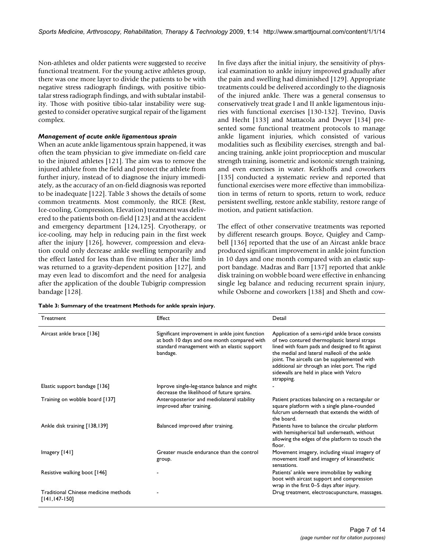Non-athletes and older patients were suggested to receive functional treatment. For the young active athletes group, there was one more layer to divide the patients to be with negative stress radiograph findings, with positive tibiotalar stress radiograph findings, and with subtalar instability. Those with positive tibio-talar instability were suggested to consider operative surgical repair of the ligament complex.

# *Management of acute ankle ligamentous sprain*

When an acute ankle ligamentous sprain happened, it was often the team physician to give immediate on-field care to the injured athletes [121]. The aim was to remove the injured athlete from the field and protect the athlete from further injury, instead of to diagnose the injury immediately, as the accuracy of an on-field diagnosis was reported to be inadequate [122]. Table 3 shows the details of some common treatments. Most commonly, the RICE (Rest, Ice-cooling, Compression, Elevation) treatment was delivered to the patients both on-field [123] and at the accident and emergency department [124,125]. Cryotherapy, or ice-cooling, may help in reducing pain in the first week after the injury [126], however, compression and elevation could only decrease ankle swelling temporarily and the effect lasted for less than five minutes after the limb was returned to a gravity-dependent position [127], and may even lead to discomfort and the need for analgesia after the application of the double Tubigrip compression bandage [128].

In five days after the initial injury, the sensitivity of physical examination to ankle injury improved gradually after the pain and swelling had diminished [129]. Appropriate treatments could be delivered accordingly to the diagnosis of the injured ankle. There was a general consensus to conservatively treat grade I and II ankle ligamentous injuries with functional exercises [130-132]. Trevino, Davis and Hecht [133] and Mattacola and Dwyer [134] presented some functional treatment protocols to manage ankle ligament injuries, which consisted of various modalities such as flexibility exercises, strength and balancing training, ankle joint proprioception and muscular strength training, isometric and isotonic strength training, and even exercises in water. Kerkhoffs and coworkers [135] conducted a systematic review and reported that functional exercises were more effective than immobilization in terms of return to sports, return to work, reduce persistent swelling, restore ankle stability, restore range of motion, and patient satisfaction.

The effect of other conservative treatments was reported by different research groups. Boyce, Quigley and Campbell [136] reported that the use of an Aircast ankle brace produced significant improvement in ankle joint function in 10 days and one month compared with an elastic support bandage. Madras and Barr [137] reported that ankle disk training on wobble board were effective in enhancing single leg balance and reducing recurrent sprain injury, while Osborne and coworkers [138] and Sheth and cow-

| Treatment                                                  | Effect                                                                                                                                                    | Detail                                                                                                                                                                                                                                                                                                                                                           |
|------------------------------------------------------------|-----------------------------------------------------------------------------------------------------------------------------------------------------------|------------------------------------------------------------------------------------------------------------------------------------------------------------------------------------------------------------------------------------------------------------------------------------------------------------------------------------------------------------------|
| Aircast ankle brace [136]                                  | Significant improvement in ankle joint function<br>at both 10 days and one month compared with<br>standard management with an elastic support<br>bandage. | Application of a semi-rigid ankle brace consists<br>of two contured thermoplastic lateral straps<br>lined with foam pads and designed to fit against<br>the medial and lateral malleoli of the ankle<br>joint. The aircells can be supplemented with<br>additional air through an inlet port. The rigid<br>sidewalls are held in place with Velcro<br>strapping. |
| Elastic support bandage [136]                              | Inprove single-leg-stance balance and might<br>decrease the likelihood of future sprains.                                                                 |                                                                                                                                                                                                                                                                                                                                                                  |
| Training on wobble board [137]                             | Anteroposterior and mediolateral stability<br>improved after training.                                                                                    | Patient practices balancing on a rectangular or<br>square platform with a single plane-rounded<br>fulcrum underneath that extends the width of<br>the board.                                                                                                                                                                                                     |
| Ankle disk training [138,139]                              | Balanced improved after training.                                                                                                                         | Patients have to balance the circular platform<br>with hemispherical ball underneath, without<br>allowing the edges of the platform to touch the<br>floor.                                                                                                                                                                                                       |
| Imagery [141]                                              | Greater muscle endurance than the control<br>group.                                                                                                       | Movement imagery, including visual imagery of<br>movement itself and imagery of kinaesthetic<br>sensations.                                                                                                                                                                                                                                                      |
| Resistive walking boot [146]                               |                                                                                                                                                           | Patients' ankle were immobilize by walking<br>boot with aircast support and compression<br>wrap in the first 0-5 days after injury.                                                                                                                                                                                                                              |
| Traditional Chinese medicine methods<br>$[141, 147 - 150]$ |                                                                                                                                                           | Drug treatment, electroacupuncture, massages.                                                                                                                                                                                                                                                                                                                    |

**Table 3: Summary of the treatment Methods for ankle sprain injury.**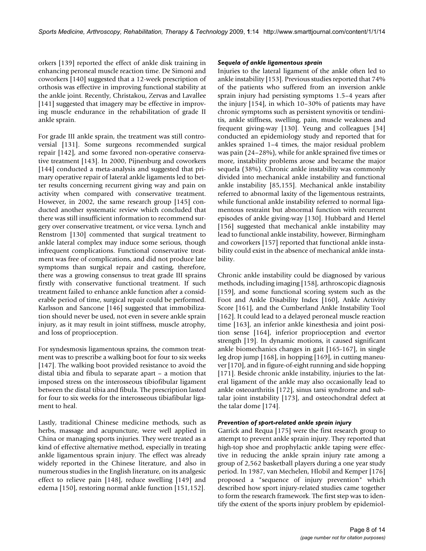orkers [139] reported the effect of ankle disk training in enhancing peroneal muscle reaction time. De Simoni and coworkers [140] suggested that a 12-week prescription of orthosis was effective in improving functional stability at the ankle joint. Recently, Christakou, Zervas and Lavallee [141] suggested that imagery may be effective in improving muscle endurance in the rehabilitation of grade II ankle sprain.

For grade III ankle sprain, the treatment was still controversial [131]. Some surgeons recommended surgical repair [142], and some favored non-operative conservative treatment [143]. In 2000, Pijnenburg and coworkers [144] conducted a meta-analysis and suggested that primary operative repair of lateral ankle ligaments led to better results concerning recurrent giving way and pain on activity when compared with conservative treatment. However, in 2002, the same research group [145] conducted another systematic review which concluded that there was still insufficient information to recommend surgery over conservative treatment, or vice versa. Lynch and Renstrom [130] commented that surgical treatment to ankle lateral complex may induce some serious, though infrequent complications. Functional conservative treatment was free of complications, and did not produce late symptoms than surgical repair and casting, therefore, there was a growing consensus to treat grade III sprains firstly with conservative functional treatment. If such treatment failed to enhance ankle function after a considerable period of time, surgical repair could be performed. Karlsson and Sancone [146] suggested that immobilization should never be used, not even in severe ankle sprain injury, as it may result in joint stiffness, muscle atrophy, and loss of proprioception.

For syndesmosis ligamentous sprains, the common treatment was to prescribe a walking boot for four to six weeks [147]. The walking boot provided resistance to avoid the distal tibia and fibula to separate apart – a motion that imposed stress on the interosseous tibiofibular ligament between the distal tibia and fibula. The prescription lasted for four to six weeks for the interosseous tibiafibular ligament to heal.

Lastly, traditional Chinese medicine methods, such as herbs, massage and acupuncture, were well applied in China or managing sports injuries. They were treated as a kind of effective alternative method, especially in treating ankle ligamentous sprain injury. The effect was already widely reported in the Chinese literature, and also in numerous studies in the English literature, on its analgesic effect to relieve pain [148], reduce swelling [149] and edema [150], restoring normal ankle function [151,152].

## *Sequela of ankle ligamentous sprain*

Injuries to the lateral ligament of the ankle often led to ankle instability [153]. Previous studies reported that 74% of the patients who suffered from an inversion ankle sprain injury had persisting symptoms 1.5–4 years after the injury [154], in which 10–30% of patients may have chronic symptoms such as persistent synovitis or tendinitis, ankle stiffness, swelling, pain, muscle weakness and frequent giving-way [130]. Yeung and colleagues [34] conducted an epidemiology study and reported that for ankles sprained 1–4 times, the major residual problem was pain (24–28%), while for ankle sprained five times or more, instability problems arose and became the major sequela (38%). Chronic ankle instability was commonly divided into mechanical ankle instability and functional ankle instability [85,155]. Mechanical ankle instability referred to abnormal laxity of the ligementous restraints, while functional ankle instability referred to normal ligamentous restraint but abnormal function with recurrent episodes of ankle giving-way [130]. Hubbard and Hertel [156] suggested that mechanical ankle instability may lead to functional ankle instability, however, Birmingham and coworkers [157] reported that functional ankle instability could exist in the absence of mechanical ankle instability.

Chronic ankle instability could be diagnosed by various methods, including imaging [158], arthroscopic diagnosis [159], and some functional scoring system such as the Foot and Ankle Disability Index [160], Ankle Activity Score [161], and the Cumberland Ankle Instability Tool [162]. It could lead to a delayed peroneal muscle reaction time [163], an inferior ankle kinesthesia and joint position sense [164], inferior proprioception and evertor strength [19]. In dynamic motions, it caused significant ankle biomechanics changes in gait [165-167], in single leg drop jump [168], in hopping [169], in cutting maneuver [170], and in figure-of-eight running and side hopping [171]. Beside chronic ankle instability, injuries to the lateral ligament of the ankle may also occasionally lead to ankle osteoarthritis [172], sinus tarsi syndrome and subtalar joint instability [173], and osteochondral defect at the talar dome [174].

## *Prevention of sport-related ankle sprain injury*

Garrick and Requa [175] were the first research group to attempt to prevent ankle sprain injury. They reported that high-top shoe and prophylactic ankle taping were effective in reducing the ankle sprain injury rate among a group of 2,562 basketball players during a one year study period. In 1987, van Mechelen, Hlobil and Kemper [176] proposed a "sequence of injury prevention" which described how sport injury-related studies came together to form the research framework. The first step was to identify the extent of the sports injury problem by epidemiol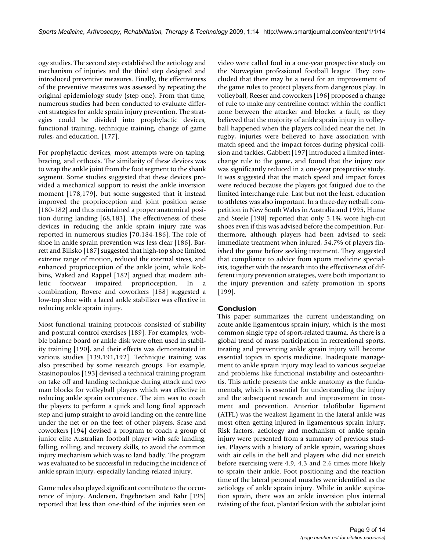ogy studies. The second step established the aetiology and mechanism of injuries and the third step designed and introduced preventive measures. Finally, the effectiveness of the preventive measures was assessed by repeating the original epidemiology study (step one). From that time, numerous studies had been conducted to evaluate different strategies for ankle sprain injury prevention. The strategies could be divided into prophylactic devices, functional training, technique training, change of game rules, and education. [177].

For prophylactic devices, most attempts were on taping, bracing, and orthosis. The similarity of these devices was to wrap the ankle joint from the foot segment to the shank segment. Some studies suggested that these devices provided a mechanical support to resist the ankle inversion moment [178,179], but some suggested that it instead improved the proprioception and joint position sense [180-182] and thus maintained a proper anatomical position during landing [68,183]. The effectiveness of these devices in reducing the ankle sprain injury rate was reported in numerous studies [70,184-186]. The role of shoe in ankle sprain prevention was less clear [186]. Barrett and Bilisko [187] suggested that high-top shoe limited extreme range of motion, reduced the external stress, and enhanced proprioception of the ankle joint, while Robbins, Waked and Rappel [182] argued that modern athletic footwear impaired proprioception. In a combination, Rovere and coworkers [188] suggested a low-top shoe with a laced ankle stabilizer was effective in reducing ankle sprain injury.

Most functional training protocols consisted of stability and postural control exercises [189]. For examples, wobble balance board or ankle disk were often used in stability training [190], and their effects was demonstrated in various studies [139,191,192]. Technique training was also prescribed by some research groups. For example, Stasinopoulos [193] devised a technical training program on take off and landing technique during attack and two man blocks for volleyball players which was effective in reducing ankle sprain occurrence. The aim was to coach the players to perform a quick and long final approach step and jump straight to avoid landing on the centre line under the net or on the feet of other players. Scase and coworkers [194] devised a program to coach a group of junior elite Australian football player with safe landing, falling, rolling, and recovery skills, to avoid the common injury mechanism which was to land badly. The program was evaluated to be successful in reducing the incidence of ankle sprain injury, especially landing-related injury.

Game rules also played significant contribute to the occurrence of injury. Andersen, Engebretsen and Bahr [195] reported that less than one-third of the injuries seen on

video were called foul in a one-year prospective study on the Norwegian professional football league. They concluded that there may be a need for an improvement of the game rules to protect players from dangerous play. In volleyball, Reeser and coworkers [196] proposed a change of rule to make any centreline contact within the conflict zone between the attacker and blocker a fault, as they believed that the majority of ankle sprain injury in volleyball happened when the players collided near the net. In rugby, injuries were believed to have association with match speed and the impact forces during physical collision and tackles. Gabbett [197] introduced a limited interchange rule to the game, and found that the injury rate was significantly reduced in a one-year prospective study. It was suggested that the match speed and impact forces were reduced because the players got fatigued due to the limited interchange rule. Last but not the least, education to athletes was also important. In a three-day netball competition in New South Wales in Australia and 1995, Hume and Steele [198] reported that only 5.1% wore high-cut shoes even if this was advised before the competition. Furthermore, although players had been advised to seek immediate treatment when injured, 54.7% of players finished the game before seeking treatment. They suggested that compliance to advice from sports medicine specialists, together with the research into the effectiveness of different injury prevention strategies, were both important to the injury prevention and safety promotion in sports [199].

# **Conclusion**

This paper summarizes the current understanding on acute ankle ligamentous sprain injury, which is the most common single type of sport-related trauma. As there is a global trend of mass participation in recreational sports, treating and preventing ankle sprain injury will become essential topics in sports medicine. Inadequate management to ankle sprain injury may lead to various sequelae and problems like functional instability and osteoarthritis. This article presents the ankle anatomy as the fundamentals, which is essential for understanding the injury and the subsequent research and improvement in treatment and prevention. Anterior talofibular ligament (ATFL) was the weakest ligament in the lateral ankle was most often getting injured in ligamentous sprain injury. Risk factors, aetiology and mechanism of ankle sprain injury were presented from a summary of previous studies. Players with a history of ankle sprain, wearing shoes with air cells in the bell and players who did not stretch before exercising were 4.9, 4.3 and 2.6 times more likely to sprain their ankle. Foot positioning and the reaction time of the lateral peroneal muscles were identified as the aetiology of ankle sprain injury. While in ankle supination sprain, there was an ankle inversion plus internal twisting of the foot, plantarlfexion with the subtalar joint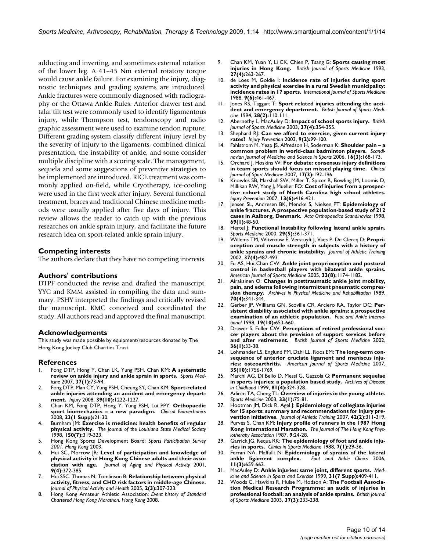adducting and inverting, and sometimes external rotation of the lower leg. A 41–45 Nm external rotatory torque would cause ankle failure. For examining the injury, diagnostic techniques and grading systems are introduced. Ankle fractures were commonly diagnosed with radiography or the Ottawa Ankle Rules. Anterior drawer test and talar tilt test were commonly used to identify ligamentous injury, while Thompson test, tendonscopy and radio graphic assessment were used to examine tendon rupture. Different grading system classify different injury level by the severity of injury to the ligaments, combined clinical presentation, the instability of ankle, and some consider multiple discipline with a scoring scale. The management, sequela and some suggestions of preventive strategies to be implemented are introduced. RICE treatment was commonly applied on-field, while Cryotherapy, ice-cooling were used in the first week after injury. Several functional treatment, braces and traditional Chinese medicine methods were usually applied after five days of injury. This review allows the reader to catch up with the previous researches on ankle sprain injury, and facilitate the future research idea on sport-related ankle sprain injury.

#### **Competing interests**

The authors declare that they have no competing interests.

#### **Authors' contributions**

DTPF conducted the revise and drafted the manuscript. YYC and KMM assisted in compiling the data and summary. PSHY interpreted the findings and critically revised the manuscript. KMC conceived and coordinated the study. All authors read and approved the final manuscript.

#### **Acknowledgements**

This study was made possible by equipment/resources donated by The Hong Kong Jockey Club Charities Trust.

#### **References**

- 1. Fong DTP, Hong Y, Chan LK, Yung PSH, Chan KM: **[A systematic](http://www.ncbi.nlm.nih.gov/entrez/query.fcgi?cmd=Retrieve&db=PubMed&dopt=Abstract&list_uids=17190537) [review on ankle injury and ankle sprain in sports.](http://www.ncbi.nlm.nih.gov/entrez/query.fcgi?cmd=Retrieve&db=PubMed&dopt=Abstract&list_uids=17190537)** *Sports Medicine* 2007, **37(1):**73-94.
- 2. Fong DTP, Man CY, Yung PSH, Cheung SY, Chan KM: **[Sport-related](http://www.ncbi.nlm.nih.gov/entrez/query.fcgi?cmd=Retrieve&db=PubMed&dopt=Abstract&list_uids=18538772) [ankle injuries attending an accident and emergency depart](http://www.ncbi.nlm.nih.gov/entrez/query.fcgi?cmd=Retrieve&db=PubMed&dopt=Abstract&list_uids=18538772)[ment.](http://www.ncbi.nlm.nih.gov/entrez/query.fcgi?cmd=Retrieve&db=PubMed&dopt=Abstract&list_uids=18538772)** *Injury* 2008, **39(10):**1222-1227.
- 3. Chan KM, Fong DTP, Hong Y, Yung PSH, Lui PPY: **Orthopaedic sport biomechanics – a new paradigm.** *Clinical Biomechanics* 2008, **23(1 Supp):**21-30.
- 4. Burnham JM: **[Exercise is medicine: health benefits of regular](http://www.ncbi.nlm.nih.gov/entrez/query.fcgi?cmd=Retrieve&db=PubMed&dopt=Abstract&list_uids=9707695) [physical activity.](http://www.ncbi.nlm.nih.gov/entrez/query.fcgi?cmd=Retrieve&db=PubMed&dopt=Abstract&list_uids=9707695)** *The Journal of the Louisiana State Medical Society* 1998, **150(7):**319-323.
- 5. Hong Kong Sports Development Board: *Sports Participation Survey 2001. Hong Kong* 2003.
- 6. Hui SC, Morrow JR: **Level of participation and knowledge of physical activity in Hong Kong Chinese adults and their association with age.** *Journal of Aging and Physical Activity* 2001, **9(4):**372-385.
- 7. Hui SSC, Thomas N, Tomlinson B: **Relationship between physical activity, fitness, and CHD risk factors in middle-age Chinese.** *Journal of Physical Activity and Health* 2005, **2(3):**307-323.
- 8. Hong Kong Amateur Athletic Association: *Event history of Standard Chartered Hong Kong Marathon. Hong Kong* 2008.
- 9. Chan KM, Yuan Y, Li CK, Chien P, Tsang G: **[Sports causing most](http://www.ncbi.nlm.nih.gov/entrez/query.fcgi?cmd=Retrieve&db=PubMed&dopt=Abstract&list_uids=8130966) [injuries in Hong Kong.](http://www.ncbi.nlm.nih.gov/entrez/query.fcgi?cmd=Retrieve&db=PubMed&dopt=Abstract&list_uids=8130966)** *British Journal of Sports Medicine* 1993, **27(4):**263-267.
- 10. de Loes M, Goldie I: **[Incidence rate of injuries during sport](http://www.ncbi.nlm.nih.gov/entrez/query.fcgi?cmd=Retrieve&db=PubMed&dopt=Abstract&list_uids=3253240) [activity and physical exercise in a rural Swedish municipality:](http://www.ncbi.nlm.nih.gov/entrez/query.fcgi?cmd=Retrieve&db=PubMed&dopt=Abstract&list_uids=3253240) [incidence rates in 17 sports.](http://www.ncbi.nlm.nih.gov/entrez/query.fcgi?cmd=Retrieve&db=PubMed&dopt=Abstract&list_uids=3253240)** *International Journal of Sports Medicine* 1988, **9(6):**461-467.
- 11. Jones RS, Taggart T: **[Sport related injuries attending the acci](http://www.ncbi.nlm.nih.gov/entrez/query.fcgi?cmd=Retrieve&db=PubMed&dopt=Abstract&list_uids=7921909)[dent and emergency department.](http://www.ncbi.nlm.nih.gov/entrez/query.fcgi?cmd=Retrieve&db=PubMed&dopt=Abstract&list_uids=7921909)** *British Journal of Sports Medicine* 1994, **28(2):**110-111.
- 12. Abernethy L, MacAuley D: **[Impact of school sports injury.](http://www.ncbi.nlm.nih.gov/entrez/query.fcgi?cmd=Retrieve&db=PubMed&dopt=Abstract&list_uids=12893724)** *British Journal of Sports Medicine* 2003, **37(4):**354-355.
- 13. Shephard RJ: **[Can we afford to exercise, given current injury](http://www.ncbi.nlm.nih.gov/entrez/query.fcgi?cmd=Retrieve&db=PubMed&dopt=Abstract&list_uids=12810731) [rates?](http://www.ncbi.nlm.nih.gov/entrez/query.fcgi?cmd=Retrieve&db=PubMed&dopt=Abstract&list_uids=12810731)** *Injury Prevention* 2003, **9(2):**99-100.
- 14. Fahlstrom M, Yeap JS, Alfredson H, Soderman K: **Shoulder pain a common problem in world-class badminton players.** *Scandinavian Journal of Medicine and Science in Sports* 2006, **16(3):**168-173.
- 15. Orchard J, Hoskins W: **[For debate: consensus injury definitions](http://www.ncbi.nlm.nih.gov/entrez/query.fcgi?cmd=Retrieve&db=PubMed&dopt=Abstract&list_uids=17513910) [in team sports should focus on missed playing time.](http://www.ncbi.nlm.nih.gov/entrez/query.fcgi?cmd=Retrieve&db=PubMed&dopt=Abstract&list_uids=17513910)** *Clinical Journal of Sport Medicine* 2007, **17(3):**192-196.
- 16. Knowles SB, Marshall SW, Miller T, Spicer R, Bowling JM, Loomis D, Millikan RW, Yang J, Mueller FO: **[Cost of injuries from a prospec](http://www.ncbi.nlm.nih.gov/entrez/query.fcgi?cmd=Retrieve&db=PubMed&dopt=Abstract&list_uids=18056320)[tive cohort study of North Carolina high school athletes.](http://www.ncbi.nlm.nih.gov/entrez/query.fcgi?cmd=Retrieve&db=PubMed&dopt=Abstract&list_uids=18056320)** *Injury Prevention* 2007, **13(6):**416-421.
- 17. Jensen SL, Andresen BK, Mencke S, Nielsen PT: **[Epidemiology of](http://www.ncbi.nlm.nih.gov/entrez/query.fcgi?cmd=Retrieve&db=PubMed&dopt=Abstract&list_uids=9524518) [ankle fractures. A prospective population-based study of 212](http://www.ncbi.nlm.nih.gov/entrez/query.fcgi?cmd=Retrieve&db=PubMed&dopt=Abstract&list_uids=9524518) [cases in Aalborg, Denmark.](http://www.ncbi.nlm.nih.gov/entrez/query.fcgi?cmd=Retrieve&db=PubMed&dopt=Abstract&list_uids=9524518)** *Acta Orthopaedica Scandinavica* 1998, **69(1):**48-50.
- 18. Hertel J: **[Functional instability following lateral ankle sprain.](http://www.ncbi.nlm.nih.gov/entrez/query.fcgi?cmd=Retrieve&db=PubMed&dopt=Abstract&list_uids=10840868)** *Sports Medicine* 2000, **29(5):**361-371.
- 19. Willems TM, Witvrouw E, Verstuyft J, Vaes P, De Clercq D: **[Propri](http://www.ncbi.nlm.nih.gov/entrez/query.fcgi?cmd=Retrieve&db=PubMed&dopt=Abstract&list_uids=12937572)[oception and muscle strength in subjects with a history of](http://www.ncbi.nlm.nih.gov/entrez/query.fcgi?cmd=Retrieve&db=PubMed&dopt=Abstract&list_uids=12937572) [ankle sprains and chronic instability.](http://www.ncbi.nlm.nih.gov/entrez/query.fcgi?cmd=Retrieve&db=PubMed&dopt=Abstract&list_uids=12937572)** *Journal of Athletic Training* 2002, **37(4):**487-493.
- 20. Fu AS, Hui-Chan CW: **[Ankle joint proprioception and postural](http://www.ncbi.nlm.nih.gov/entrez/query.fcgi?cmd=Retrieve&db=PubMed&dopt=Abstract&list_uids=16000667) [control in basketball players with bilateral ankle sprains.](http://www.ncbi.nlm.nih.gov/entrez/query.fcgi?cmd=Retrieve&db=PubMed&dopt=Abstract&list_uids=16000667)** *American Journal of Sports Medicine* 2005, **33(8):**1174-1182.
- 21. Airaksinen O: **Changes in posttraumatic ankle joint mobility, pain, and edema following intermittent pneumatic compression therapy.** *Archives in Physical Medicine and Rehabilitation* 1989, **70(4):**341-344.
- 22. Gerber JP, Williams GN, Scoville CR, Arciero RA, Taylor DC: **Persistent disability associated with ankle sprains: a prospective examination of an athletic population.** *Foot and Ankle International* 1998, **19(10):**653-660.
- 23. Drawer S, Fuller ĆW: [Perceptions of retired professional soc](http://www.ncbi.nlm.nih.gov/entrez/query.fcgi?cmd=Retrieve&db=PubMed&dopt=Abstract&list_uids=11867490)**[cer players about the provision of support services before](http://www.ncbi.nlm.nih.gov/entrez/query.fcgi?cmd=Retrieve&db=PubMed&dopt=Abstract&list_uids=11867490) [and after retirement.](http://www.ncbi.nlm.nih.gov/entrez/query.fcgi?cmd=Retrieve&db=PubMed&dopt=Abstract&list_uids=11867490)** *British Journal of Sports Medicine* 2002, **36(1):**33-38.
- 24. Lohmander LS, Englund PM, Dahl LL, Roos EM: **[The long-term con](http://www.ncbi.nlm.nih.gov/entrez/query.fcgi?cmd=Retrieve&db=PubMed&dopt=Abstract&list_uids=17761605)[sequence of anterior cruciate ligament and meniscus inju](http://www.ncbi.nlm.nih.gov/entrez/query.fcgi?cmd=Retrieve&db=PubMed&dopt=Abstract&list_uids=17761605)[ries: osteoarthritis.](http://www.ncbi.nlm.nih.gov/entrez/query.fcgi?cmd=Retrieve&db=PubMed&dopt=Abstract&list_uids=17761605)** *American Journal of Sports Medicine* 2007, **35(10):**1756-1769.
- 25. Marchi AG, Di Bello D, Messi G, Gazzola G: **[Permanent sequelae](http://www.ncbi.nlm.nih.gov/entrez/query.fcgi?cmd=Retrieve&db=PubMed&dopt=Abstract&list_uids=10490437) [in sports injuries: a population based study.](http://www.ncbi.nlm.nih.gov/entrez/query.fcgi?cmd=Retrieve&db=PubMed&dopt=Abstract&list_uids=10490437)** *Archives of Disease in Childhood* 1999, **81(4):**324-328.
- 26. Adirim TA, Cheng TL: **[Overview of injuries in the young athlete.](http://www.ncbi.nlm.nih.gov/entrez/query.fcgi?cmd=Retrieve&db=PubMed&dopt=Abstract&list_uids=12477379)** *Sports Medicine* 2003, **33(1):**75-81.
- 27. Hootman JM, Dick R, Agel J: **[Epidemiology of collegiate injuries](http://www.ncbi.nlm.nih.gov/entrez/query.fcgi?cmd=Retrieve&db=PubMed&dopt=Abstract&list_uids=17710181) [for 15 sports: summary and recommendations for injury pre](http://www.ncbi.nlm.nih.gov/entrez/query.fcgi?cmd=Retrieve&db=PubMed&dopt=Abstract&list_uids=17710181)[vention initiatives.](http://www.ncbi.nlm.nih.gov/entrez/query.fcgi?cmd=Retrieve&db=PubMed&dopt=Abstract&list_uids=17710181)** *Journal of Athletic Training* 2007, **42(2):**311-319.
- 28. Purves S, Chan KM: **Injury profile of runners in the 1987 Hong Kong International Marathon.** *The Journal of The Hong Kong Physiotherapy Association* 1987, **9:**24-28.
- 29. Garrick JG, Requa RK: **[The epidemiology of foot and ankle inju](http://www.ncbi.nlm.nih.gov/entrez/query.fcgi?cmd=Retrieve&db=PubMed&dopt=Abstract&list_uids=2900695)[ries in sports.](http://www.ncbi.nlm.nih.gov/entrez/query.fcgi?cmd=Retrieve&db=PubMed&dopt=Abstract&list_uids=2900695)** *Clinics in Sports Medicine* 1988, **7(1):**29-36.
- 30. Ferran NA, Maffulli N: **Epidemiology of sprains of the lateral** Foot and Ankle Clinics 2006, **11(3):**659-662.
- 31. MacAuley D: Ankle injuries: same joint, different sports. Med*icine and Science in Sports and Exercise* 1999, **31(7 Supp):**409-411.
- 32. Woods C, Hawkins R, Hulse M, Hodson A: **[The Football Associa](http://www.ncbi.nlm.nih.gov/entrez/query.fcgi?cmd=Retrieve&db=PubMed&dopt=Abstract&list_uids=12782548)[tion Medical Research Programme: an audit of injuries in](http://www.ncbi.nlm.nih.gov/entrez/query.fcgi?cmd=Retrieve&db=PubMed&dopt=Abstract&list_uids=12782548) [professional football: an analysis of ankle sprains.](http://www.ncbi.nlm.nih.gov/entrez/query.fcgi?cmd=Retrieve&db=PubMed&dopt=Abstract&list_uids=12782548)** *British Journal of Sports Medicine* 2003, **37(3):**233-238.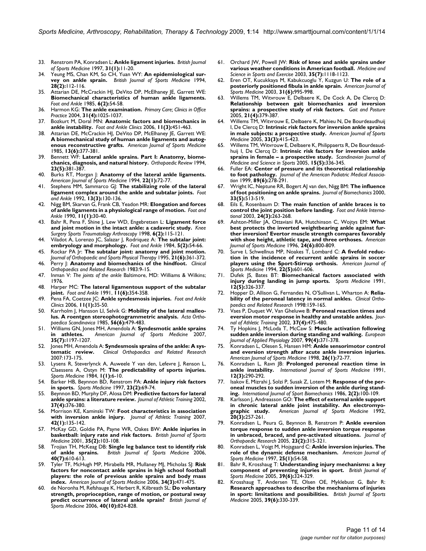- 33. Renstrom PA, Konradsen L: **[Ankle ligament injuries.](http://www.ncbi.nlm.nih.gov/entrez/query.fcgi?cmd=Retrieve&db=PubMed&dopt=Abstract&list_uids=9132202)** *British Journal of Sports Medicine* 1997, **31(1):**11-20.
- 34. Yeung MS, Chan KM, So CH, Yuan WY: **[An epidemiological sur](http://www.ncbi.nlm.nih.gov/entrez/query.fcgi?cmd=Retrieve&db=PubMed&dopt=Abstract&list_uids=7921910)[vey on ankle sprain.](http://www.ncbi.nlm.nih.gov/entrez/query.fcgi?cmd=Retrieve&db=PubMed&dopt=Abstract&list_uids=7921910)** *British Journal of Sports Medicine* 1994, **28(2):**112-116.
- 35. Attarian DE, McCrackin HJ, DeVito DP, McElhaney JE, Garrett WE: **Biomechanical characteristics of human ankle ligaments.** *Foot and Ankle* 1985, **6(2):**54-58.
- 36. Harmon KG: **The ankle examination.** *Primary Care; Clinics in Office Practice* 2004, **31(4):**1025-1037.
- 37. Bozkurt M, Doral MN: **Anatomic factors and biomechanics in ankle instability.** *Foot and Ankle Clinics* 2006, **11(3):**451-463.
- 38. Attarian DE, McCrackin HJ, DeVito DP, McElhaney JE, Garrett WE: **[A biomechanical study of human ankle ligaments and autog](http://www.ncbi.nlm.nih.gov/entrez/query.fcgi?cmd=Retrieve&db=PubMed&dopt=Abstract&list_uids=4073343)[enous reconstructive grafts.](http://www.ncbi.nlm.nih.gov/entrez/query.fcgi?cmd=Retrieve&db=PubMed&dopt=Abstract&list_uids=4073343)** *American Journal of Sports Medicine* 1985, **13(6):**377-381.
- 39. Bennett WF: **[Lateral ankle sprains. Part I: Anatomy, biome](http://www.ncbi.nlm.nih.gov/entrez/query.fcgi?cmd=Retrieve&db=PubMed&dopt=Abstract&list_uids=8041572)[chanics, diagnosis, and natural history.](http://www.ncbi.nlm.nih.gov/entrez/query.fcgi?cmd=Retrieve&db=PubMed&dopt=Abstract&list_uids=8041572)** *Orthopaedic Review* 1994, **23(5):**381-387.
- 40. Burks RT, Morgan J: **[Anatomy of the lateral ankle ligaments.](http://www.ncbi.nlm.nih.gov/entrez/query.fcgi?cmd=Retrieve&db=PubMed&dopt=Abstract&list_uids=8129114)** *American Journal of Sports Medicine* 1994, **22(1):**72-77.
- 41. Stephens MM, Sammarco GJ: **The stabilizing role of the lateral ligament complex around the ankle and subtalar joints.** *Foot and Ankle* 1992, **13(3):**130-136.
- 42. Nigg BM, Skarvan G, Frank CB, Yeadon MR: **Elongation and forces of ankle ligaments in a physiological range of motion.** *Foot and Ankle* 1990, **11(1):**30-40.
- 43. Bahr R, Pena F, Shine J, Lew WD, Engebretsen L: **Ligament force and joint motion in the intact ankle: a cadaveric study.** *Knee Surgery Sports Traumatology Arthroscopy* 1998, **6(2):**115-121.
- 44. Viladot A, Lorenzo JC, Salazar J, Rodriquez A: **The subtalar joint: embryology and morphology.** *Foot and Ankle* 1984, **5(2):**54-66.
- 45. Rockar PA Jr: **The subtalar joint: anatomy and joint motion.** *Journal of Orthopaedic and Sports Physical Therapy* 1995, **21(6):**361-372.
- 46. Perry J: **Anatomy and biomechanics of the hindfoot.** *Clinical Orthopaedics and Related Research* 1983:9-15.
- 47. Inman V: *The joints of the ankle* Baltimore, MD: Williams & Wilkins; 1976.
- 48. Harper MC: **The lateral ligamentous support of the subtalar joint.** *Foot and Ankle* 1991, **11(6):**354-358.
- 49. Pena FA, Coetzee JC: **Ankle syndesmosis injuries.** *Foot and Ankle Clinics* 2006, **11(1):**35-50.
- 50. Karrholm J, Hansson LI, Selvik G: **[Mobility of the lateral malleo](http://www.ncbi.nlm.nih.gov/entrez/query.fcgi?cmd=Retrieve&db=PubMed&dopt=Abstract&list_uids=4090949)[lus. A roentgen stereophotogrammetric analysis.](http://www.ncbi.nlm.nih.gov/entrez/query.fcgi?cmd=Retrieve&db=PubMed&dopt=Abstract&list_uids=4090949)** *Acta Orthopaedica Scandinavica* 1985, **56(6):**479-483.
- 51. Williams GN, Jones MH, Amendola A: **[Syndesmotic ankle sprains](http://www.ncbi.nlm.nih.gov/entrez/query.fcgi?cmd=Retrieve&db=PubMed&dopt=Abstract&list_uids=17519439) [in athletes.](http://www.ncbi.nlm.nih.gov/entrez/query.fcgi?cmd=Retrieve&db=PubMed&dopt=Abstract&list_uids=17519439)** *American Journal of Sports Medicine* 2007, **35(7):**1197-1207.
- 52. Jones MH, Amendola A: **Syndesmosis sprains of the ankle: A systematic review.** *Clinical Orthopaedics and Related Research* 2007:173-175.
- 53. Lysens R, Steverlynck A, Auweele Y van den, Lefevre J, Renson L, Claessens A, Ostyn M: **The predictability of sports injuries.** *Sports Medicine* 1984, **1(1):**6-10.
- 54. Barker HB, Beynnon BD, Renstrom PA: **[Ankle injury risk factors](http://www.ncbi.nlm.nih.gov/entrez/query.fcgi?cmd=Retrieve&db=PubMed&dopt=Abstract&list_uids=9068092) [in sports.](http://www.ncbi.nlm.nih.gov/entrez/query.fcgi?cmd=Retrieve&db=PubMed&dopt=Abstract&list_uids=9068092)** *Sports Medicine* 1997, **23(2):**69-74.
- 55. Beynnon BD, Murphy DF, Alosa DM: **[Predictive factors for lateral](http://www.ncbi.nlm.nih.gov/entrez/query.fcgi?cmd=Retrieve&db=PubMed&dopt=Abstract&list_uids=12937558) [ankle sprains: a literature review.](http://www.ncbi.nlm.nih.gov/entrez/query.fcgi?cmd=Retrieve&db=PubMed&dopt=Abstract&list_uids=12937558)** *Journal of Athletic Training* 2002, **37(4):**376-380.
- 56. Morrison KE, Kaminski TW: **[Foot characteristics in association](http://www.ncbi.nlm.nih.gov/entrez/query.fcgi?cmd=Retrieve&db=PubMed&dopt=Abstract&list_uids=17597955) [with inversion ankle injury.](http://www.ncbi.nlm.nih.gov/entrez/query.fcgi?cmd=Retrieve&db=PubMed&dopt=Abstract&list_uids=17597955)** *Journal of Athletic Training* 2007, **42(1):**135-142.
- 57. McKay GD, Goldie PA, Payne WR, Oakes BW: **[Ankle injuries in](http://www.ncbi.nlm.nih.gov/entrez/query.fcgi?cmd=Retrieve&db=PubMed&dopt=Abstract&list_uids=11273971) [basketball: injury rate and risk factors.](http://www.ncbi.nlm.nih.gov/entrez/query.fcgi?cmd=Retrieve&db=PubMed&dopt=Abstract&list_uids=11273971)** *British Journal of Sports Medicine* 2001, **35(2):**103-108.
- 58. Trojian TH, McKeag DB: **[Single leg balance test to identify risk](http://www.ncbi.nlm.nih.gov/entrez/query.fcgi?cmd=Retrieve&db=PubMed&dopt=Abstract&list_uids=16687483) [of ankle sprains.](http://www.ncbi.nlm.nih.gov/entrez/query.fcgi?cmd=Retrieve&db=PubMed&dopt=Abstract&list_uids=16687483)** *British Journal of Sports Medicine* 2006, **40(7):**610-613.
- 59. Tyler TF, McHugh MP, Mirabella MR, Mullaney MJ, Micholas SJ: **[Risk](http://www.ncbi.nlm.nih.gov/entrez/query.fcgi?cmd=Retrieve&db=PubMed&dopt=Abstract&list_uids=16260467) [factors for noncontact ankle sprains in high school football](http://www.ncbi.nlm.nih.gov/entrez/query.fcgi?cmd=Retrieve&db=PubMed&dopt=Abstract&list_uids=16260467) players: the role of previous ankle sprains and body mass [index.](http://www.ncbi.nlm.nih.gov/entrez/query.fcgi?cmd=Retrieve&db=PubMed&dopt=Abstract&list_uids=16260467)** *American Journal of Sports Medicine* 2006, **34(3):**471-475.
- 60. de Noronha M, Refshauge K, Herbert R, Kilbreath SL: **[Do voluntary](http://www.ncbi.nlm.nih.gov/entrez/query.fcgi?cmd=Retrieve&db=PubMed&dopt=Abstract&list_uids=16920769) [strength, proprioception, range of motion, or postural sway](http://www.ncbi.nlm.nih.gov/entrez/query.fcgi?cmd=Retrieve&db=PubMed&dopt=Abstract&list_uids=16920769) [predict occurrence of lateral ankle sprain?](http://www.ncbi.nlm.nih.gov/entrez/query.fcgi?cmd=Retrieve&db=PubMed&dopt=Abstract&list_uids=16920769)** *British Journal of Sports Medicine* 2006, **40(10):**824-828.
- 61. Orchard JW, Powell JW: **Risk of knee and ankle sprains under various weather conditions in American football.** *Medicine and Science in Sports and Exercise* 2003, **35(7):**1118-1123.
- 62. Eren OT, Kucukkaya M, Kabukcuoglu Y, Kuzgun U: **[The role of a](http://www.ncbi.nlm.nih.gov/entrez/query.fcgi?cmd=Retrieve&db=PubMed&dopt=Abstract&list_uids=14623669) [posteriorly positioned fibula in ankle sprain.](http://www.ncbi.nlm.nih.gov/entrez/query.fcgi?cmd=Retrieve&db=PubMed&dopt=Abstract&list_uids=14623669)** *American Journal of Sports Medicine* 2003, **31(6):**995-998.
- 63. Willems TM, Witvrouw E, Delbaere K, De Cock A, De Clercq D: **Relationship between gait biomechanics and inversion sprains: a prospective study of risk factors.** *Gait and Posture* 2005, **21(4):**379-387.
- 64. Willems TM, Witvrouw E, Delbaere K, Mahieu N, De Bourdeaudhuij I, De Clercq D: **[Intrinsic risk factors for inversion ankle sprains](http://www.ncbi.nlm.nih.gov/entrez/query.fcgi?cmd=Retrieve&db=PubMed&dopt=Abstract&list_uids=15716258) [in male subjects: a prospective study.](http://www.ncbi.nlm.nih.gov/entrez/query.fcgi?cmd=Retrieve&db=PubMed&dopt=Abstract&list_uids=15716258)** *American Journal of Sports Medicine* 2005, **33(3):**415-423.
- 65. Willems TM, Witvrouw E, Delbaere K, Philippaerts R, De Bourdeaudhuij I, De Clercq D: **Intrinsic risk factors for inversion ankle sprains in female – a prospective study.** *Scandinavian Journal of Medicine and Science in Sports* 2005, **15(5):**336-345.
- 66. Fuller EA: **[Center of pressure and its theoretical relationship](http://www.ncbi.nlm.nih.gov/entrez/query.fcgi?cmd=Retrieve&db=PubMed&dopt=Abstract&list_uids=10384754) [to foot pathology.](http://www.ncbi.nlm.nih.gov/entrez/query.fcgi?cmd=Retrieve&db=PubMed&dopt=Abstract&list_uids=10384754)** *Journal of the American Podiatric Medical Association* 1999, **89(6):**278-291.
- 67. Wright IC, Neptune RR, Bogert AJ van den, Nigg BM: **[The influence](http://www.ncbi.nlm.nih.gov/entrez/query.fcgi?cmd=Retrieve&db=PubMed&dopt=Abstract&list_uids=10708771) [of foot positioning on ankle sprains.](http://www.ncbi.nlm.nih.gov/entrez/query.fcgi?cmd=Retrieve&db=PubMed&dopt=Abstract&list_uids=10708771)** *Journal of Biomechanics* 2000, **33(5):**513-519.
- 68. Eils E, Rosenbaum D: **The main function of ankle braces is to control the joint position before landing.** *Foot and Ankle International* 2003, **24(3):**263-268.
- 69. Ashton-Miller JA, Ottaviani RA, Hutchinson C, Wojtys EM: **[What](http://www.ncbi.nlm.nih.gov/entrez/query.fcgi?cmd=Retrieve&db=PubMed&dopt=Abstract&list_uids=8947403) [best protects the inverted weightbearing ankle against fur](http://www.ncbi.nlm.nih.gov/entrez/query.fcgi?cmd=Retrieve&db=PubMed&dopt=Abstract&list_uids=8947403)ther inversion? Evertor muscle strength compares favorably [with shoe height, athletic tape, and three orthoses.](http://www.ncbi.nlm.nih.gov/entrez/query.fcgi?cmd=Retrieve&db=PubMed&dopt=Abstract&list_uids=8947403)** *American Journal of Sports Medicine* 1996, **24(6):**800-809.
- 70. Surve I, Schwellnus MP, Noakes T, Lombard C: **[A fivefold reduc](http://www.ncbi.nlm.nih.gov/entrez/query.fcgi?cmd=Retrieve&db=PubMed&dopt=Abstract&list_uids=7810782)[tion in the incidence of recurrent ankle sprains in soccer](http://www.ncbi.nlm.nih.gov/entrez/query.fcgi?cmd=Retrieve&db=PubMed&dopt=Abstract&list_uids=7810782) [players using the Sport-Stirrup orthosis.](http://www.ncbi.nlm.nih.gov/entrez/query.fcgi?cmd=Retrieve&db=PubMed&dopt=Abstract&list_uids=7810782)** *American Journal of Sports Medicine* 1994, **22(5):**601-606.
- 71. Dufek JS, Bates BT: **[Biomechanical factors associated with](http://www.ncbi.nlm.nih.gov/entrez/query.fcgi?cmd=Retrieve&db=PubMed&dopt=Abstract&list_uids=1763250) [injury during landing in jump sports.](http://www.ncbi.nlm.nih.gov/entrez/query.fcgi?cmd=Retrieve&db=PubMed&dopt=Abstract&list_uids=1763250)** *Sports Medicine* 1991, **12(5):**326-337.
- 72. Hopper D, Allison G, Fernandes N, O'Sullivan L, Wharton A: **Reliability of the peroneal latency in normal ankles.** *Clinical Orthopaedics and Related Research* 1998:159-165.
- 73. Vaes P, Duquet W, Van Gheluwe B: **[Peroneal reaction times and](http://www.ncbi.nlm.nih.gov/entrez/query.fcgi?cmd=Retrieve&db=PubMed&dopt=Abstract&list_uids=12937570) [eversion motor response in healthy and unstable ankles.](http://www.ncbi.nlm.nih.gov/entrez/query.fcgi?cmd=Retrieve&db=PubMed&dopt=Abstract&list_uids=12937570)** *Journal of Athletic Training* 2002, **37(4):**475-480.
- 74. Ty Hopkins J, McLoda T, McCaw S: **[Muscle activation following](http://www.ncbi.nlm.nih.gov/entrez/query.fcgi?cmd=Retrieve&db=PubMed&dopt=Abstract&list_uids=17165055) [sudden ankle inversion during standing and walking.](http://www.ncbi.nlm.nih.gov/entrez/query.fcgi?cmd=Retrieve&db=PubMed&dopt=Abstract&list_uids=17165055)** *European Journal of Applied Physiology* 2007, **99(4):**371-378.
- 75. Konradsen L, Olesen S, Hansen HM: **[Ankle sensorimotor control](http://www.ncbi.nlm.nih.gov/entrez/query.fcgi?cmd=Retrieve&db=PubMed&dopt=Abstract&list_uids=9474405) [and eversion strength after acute ankle inversion injuries.](http://www.ncbi.nlm.nih.gov/entrez/query.fcgi?cmd=Retrieve&db=PubMed&dopt=Abstract&list_uids=9474405)** *American Journal of Sports Medicine* 1998, **26(1):**72-77.
- 76. Konradsen L, Ravn JB: **[Prolonged peroneal reaction time in](http://www.ncbi.nlm.nih.gov/entrez/query.fcgi?cmd=Retrieve&db=PubMed&dopt=Abstract&list_uids=1889937) [ankle instability.](http://www.ncbi.nlm.nih.gov/entrez/query.fcgi?cmd=Retrieve&db=PubMed&dopt=Abstract&list_uids=1889937)** *International Journal of Sports Medicine* 1991, **12(3):**290-292.
- 77. Isakov E, Mizrahi J, Solzi P, Susak Z, Lotem M: **Response of the peroneal muscles to sudden inversion of the ankle during standing.** *International Journal of Sport Biomechanics* 1986, **2(2):**100-109.
- 78. Karlsson J, Andreasson GO: **[The effect of external ankle support](http://www.ncbi.nlm.nih.gov/entrez/query.fcgi?cmd=Retrieve&db=PubMed&dopt=Abstract&list_uids=1636854) [in chronic lateral ankle joint instability. An electromyo](http://www.ncbi.nlm.nih.gov/entrez/query.fcgi?cmd=Retrieve&db=PubMed&dopt=Abstract&list_uids=1636854)[graphic study.](http://www.ncbi.nlm.nih.gov/entrez/query.fcgi?cmd=Retrieve&db=PubMed&dopt=Abstract&list_uids=1636854)** *American Journal of Sports Medicine* 1992, **20(3):**257-261.
- 79. Konradsen L, Peura G, Beynnon B, Renstrom P: **[Ankle eversion](http://www.ncbi.nlm.nih.gov/entrez/query.fcgi?cmd=Retrieve&db=PubMed&dopt=Abstract&list_uids=15734242) [torque response to sudden ankle inversion torque response](http://www.ncbi.nlm.nih.gov/entrez/query.fcgi?cmd=Retrieve&db=PubMed&dopt=Abstract&list_uids=15734242) [in unbraced, braced, and pre-activated situations.](http://www.ncbi.nlm.nih.gov/entrez/query.fcgi?cmd=Retrieve&db=PubMed&dopt=Abstract&list_uids=15734242)** *Journal of Orthopaedic Research* 2005, **23(2):**315-321.
- 80. Konradsen L, Voigt M, Hojsgaard C: **[Ankle inversion injuries. The](http://www.ncbi.nlm.nih.gov/entrez/query.fcgi?cmd=Retrieve&db=PubMed&dopt=Abstract&list_uids=9006692) [role of the dynamic defense mechanism.](http://www.ncbi.nlm.nih.gov/entrez/query.fcgi?cmd=Retrieve&db=PubMed&dopt=Abstract&list_uids=9006692)** *American Journal of Sports Medicine* 1997, **25(1):**54-58.
- 81. Bahr R, Krosshaug T: **[Understanding injury mechanisms: a key](http://www.ncbi.nlm.nih.gov/entrez/query.fcgi?cmd=Retrieve&db=PubMed&dopt=Abstract&list_uids=15911600) [component of preventing injuries in sport.](http://www.ncbi.nlm.nih.gov/entrez/query.fcgi?cmd=Retrieve&db=PubMed&dopt=Abstract&list_uids=15911600)** *British Journal of Sports Medicine* 2005, **39(6):**324-329.
- 82. Krosshaug T, Andersen TE, Olsen OE, Myklebust G, Bahr R: **[Research approaches to describe the mechanisms of injuries](http://www.ncbi.nlm.nih.gov/entrez/query.fcgi?cmd=Retrieve&db=PubMed&dopt=Abstract&list_uids=15911601) [in sport: limitations and possibilities.](http://www.ncbi.nlm.nih.gov/entrez/query.fcgi?cmd=Retrieve&db=PubMed&dopt=Abstract&list_uids=15911601)** *British Journal of Sports Medicine* 2005, **39(6):**330-339.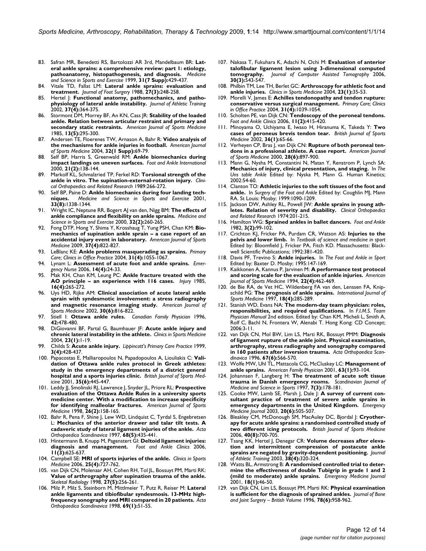- 83. Safran MR, Benedetti RS, Bartolozzi AR 3rd, Mandelbaum BR: **Lateral ankle sprains: a comprehensive review: part 1: etiology, pathoanatomy, histopathogenesis, and diagnosis.** *Medicine and Science in Sports and Exercise* 1999, **31(7 Supp):**429-437.
- 84. Vitale TD, Fallat LM: **[Lateral ankle sprains: evaluation and](http://www.ncbi.nlm.nih.gov/entrez/query.fcgi?cmd=Retrieve&db=PubMed&dopt=Abstract&list_uids=3403929) [treatment.](http://www.ncbi.nlm.nih.gov/entrez/query.fcgi?cmd=Retrieve&db=PubMed&dopt=Abstract&list_uids=3403929)** *Journal of Foot Surgery* 1988, **27(3):**248-258.
- 85. Hertel J: **[Functional anatomy, pathomechanics, and patho](http://www.ncbi.nlm.nih.gov/entrez/query.fcgi?cmd=Retrieve&db=PubMed&dopt=Abstract&list_uids=12937557)[physiology of lateral ankle instability.](http://www.ncbi.nlm.nih.gov/entrez/query.fcgi?cmd=Retrieve&db=PubMed&dopt=Abstract&list_uids=12937557)** *Journal of Athletic Training* 2002, **37(4):**364-375.
- 86. Stormont DM, Morrey BF, An KN, Cass JR: **[Stability of the loaded](http://www.ncbi.nlm.nih.gov/entrez/query.fcgi?cmd=Retrieve&db=PubMed&dopt=Abstract&list_uids=4051085) [ankle. Relation between articular restraint and primary and](http://www.ncbi.nlm.nih.gov/entrez/query.fcgi?cmd=Retrieve&db=PubMed&dopt=Abstract&list_uids=4051085) [secondary static restraints.](http://www.ncbi.nlm.nih.gov/entrez/query.fcgi?cmd=Retrieve&db=PubMed&dopt=Abstract&list_uids=4051085)** *American Journal of Sports Medicine* 1985, **13(5):**295-300.
- 87. Andersen TE, Floerenes TW, Arnason A, Bahr R: **Video analysis of the mechanisms for ankle injuries in football.** *American Journal of Sports Medicine* 2004, **32(1 Supp):**69-79.
- 88. Self BP, Harris S, Greenwald RM: **Ankle biomechanics during impact landings on uneven surfaces.** *Foot and Ankle International* 2000, **21(2):**138-144.
- 89. Markolf KL, Schmalzried TP, Ferkel RD: **Torsional strength of the ankle in vitro. The supination-external-rotation injury.** *Clinical Orthopaedics and Related Research* 1989:266-272.
- 90. Self BP, Paine D: **Ankle biomechanics during four landing techniques.** *Medicine and Science in Sports and Exercise* 2001, **33(8):**1338-1344.
- 91. Wright IC, Neptune RR, Bogert AJ van den, Nigg BM: **The effects of ankle compliance and flexibility on ankle sprains.** *Medicine and Science in Sports and Exercise* 2000, **32(2):**260-265.
- 92. Fong DTP, Hong Y, Shima Y, Krosshaug T, Yung PSH, Chan KM: **[Bio](http://www.ncbi.nlm.nih.gov/entrez/query.fcgi?cmd=Retrieve&db=PubMed&dopt=Abstract&list_uids=19188559)[mechanics of supination ankle sprain – a case report of an](http://www.ncbi.nlm.nih.gov/entrez/query.fcgi?cmd=Retrieve&db=PubMed&dopt=Abstract&list_uids=19188559) [accidental injury event in laboratory.](http://www.ncbi.nlm.nih.gov/entrez/query.fcgi?cmd=Retrieve&db=PubMed&dopt=Abstract&list_uids=19188559)** *American Journal of Sports Medicine* 2009, **37(4):**822-827.
- 93. LeBlanc KE: **Ankle problems masquerading as sprains.** *Primary Care; Clinics in Office Practice* 2004, **31(4):**1055-1067.
- 94. Lynam L: **[Assessment of acute foot and ankle sprains.](http://www.ncbi.nlm.nih.gov/entrez/query.fcgi?cmd=Retrieve&db=PubMed&dopt=Abstract&list_uids=16878848)** *Emergency Nurse* 2006, **14(4):**24-33.
- 95. Mak KH, Chan KM, Leung PC: **[Ankle fracture treated with the](http://www.ncbi.nlm.nih.gov/entrez/query.fcgi?cmd=Retrieve&db=PubMed&dopt=Abstract&list_uids=3967916) [AO principle – an experience with 116 cases.](http://www.ncbi.nlm.nih.gov/entrez/query.fcgi?cmd=Retrieve&db=PubMed&dopt=Abstract&list_uids=3967916)** *Injury* 1985, **16(4):**265-272.
- 96. Uys HD, Rijke AM: **[Clinical association of acute lateral ankle](http://www.ncbi.nlm.nih.gov/entrez/query.fcgi?cmd=Retrieve&db=PubMed&dopt=Abstract&list_uids=12435647) [sprain with syndesmotic involvement: a stress radiography](http://www.ncbi.nlm.nih.gov/entrez/query.fcgi?cmd=Retrieve&db=PubMed&dopt=Abstract&list_uids=12435647) [and magnetic resonance imaging study.](http://www.ncbi.nlm.nih.gov/entrez/query.fcgi?cmd=Retrieve&db=PubMed&dopt=Abstract&list_uids=12435647)** *American Journal of Sports Medicine* 2002, **30(6):**816-822.
- 97. Stiell I: **[Ottawa ankle rules.](http://www.ncbi.nlm.nih.gov/entrez/query.fcgi?cmd=Retrieve&db=PubMed&dopt=Abstract&list_uids=8616287)** *Canadian Family Physician* 1996, **42:**478-480.
- 98. DiGiovanni BF, Partal G, Baumhauer JF: **[Acute ankle injury and](http://www.ncbi.nlm.nih.gov/entrez/query.fcgi?cmd=Retrieve&db=PubMed&dopt=Abstract&list_uids=15062581) [chronic lateral instability in the athlete.](http://www.ncbi.nlm.nih.gov/entrez/query.fcgi?cmd=Retrieve&db=PubMed&dopt=Abstract&list_uids=15062581)** *Clinics in Sports Medicine* 2004, **23(1):**1-19.
- 99. Childs S: **[Acute ankle injury.](http://www.ncbi.nlm.nih.gov/entrez/query.fcgi?cmd=Retrieve&db=PubMed&dopt=Abstract&list_uids=10624277)** *Lippincott's Primary Care Practice* 1999, **3(4):**428-437.
- 100. Papacostas E, Malliaropoulos N, Papadopoulos A, Liouliakis C: **[Vali](http://www.ncbi.nlm.nih.gov/entrez/query.fcgi?cmd=Retrieve&db=PubMed&dopt=Abstract&list_uids=11726486)[dation of Ottawa ankle rules protocol in Greek athletes:](http://www.ncbi.nlm.nih.gov/entrez/query.fcgi?cmd=Retrieve&db=PubMed&dopt=Abstract&list_uids=11726486) study in the emergency departments of a district general [hospital and a sports injuries clinic.](http://www.ncbi.nlm.nih.gov/entrez/query.fcgi?cmd=Retrieve&db=PubMed&dopt=Abstract&list_uids=11726486)** *British Journal of Sports Medicine* 2001, **35(6):**445-447.
- 101. Leddy JJ, Smolinski RJ, Lawrence J, Snyder JL, Priore RL: **[Prospective](http://www.ncbi.nlm.nih.gov/entrez/query.fcgi?cmd=Retrieve&db=PubMed&dopt=Abstract&list_uids=9548106) [evaluation of the Ottawa Ankle Rules in a university sports](http://www.ncbi.nlm.nih.gov/entrez/query.fcgi?cmd=Retrieve&db=PubMed&dopt=Abstract&list_uids=9548106) medicine center. With a modification to increase specificity [for identifying malleolar fractures.](http://www.ncbi.nlm.nih.gov/entrez/query.fcgi?cmd=Retrieve&db=PubMed&dopt=Abstract&list_uids=9548106)** *American Journal of Sports Medicine* 1998, **26(2):**158-165.
- 102. Bahr R, Pena F, Shine J, Lew WD, Lindquist C, Tyrdal S, Engebretsen L: **[Mechanics of the anterior drawer and talar tilt tests. A](http://www.ncbi.nlm.nih.gov/entrez/query.fcgi?cmd=Retrieve&db=PubMed&dopt=Abstract&list_uids=9385242) [cadaveric study of lateral ligament injuries of the ankle.](http://www.ncbi.nlm.nih.gov/entrez/query.fcgi?cmd=Retrieve&db=PubMed&dopt=Abstract&list_uids=9385242)** *Acta Orthopaedica Scandinavica* 1997, **68(5):**435-441.
- 103. Hintermann B, Knupp M, Pagenstert GI: **Deltoid ligament injuries: diagnosis and management.** *Foot and Ankle Clinics* 2006, **11(3):**625-637.
- 104. Campbell SE: **[MRI of sports injuries of the ankle.](http://www.ncbi.nlm.nih.gov/entrez/query.fcgi?cmd=Retrieve&db=PubMed&dopt=Abstract&list_uids=16962424)** *Clinics in Sports Medicine* 2006, **25(4):**727-762.
- 105. van Dijk CN, Molenaar AH, Cohen RH, Tol JL, Bossuyt PM, Marti RK: **[Value of arthrography after supination trauma of the ankle.](http://www.ncbi.nlm.nih.gov/entrez/query.fcgi?cmd=Retrieve&db=PubMed&dopt=Abstract&list_uids=9638835)** *Skeletal Radiology* 1998, **27(5):**256-261.
- 106. Milz P, Milz S, Steinborn M, Mittlmeier T, Putz R, Reiser M: **[Lateral](http://www.ncbi.nlm.nih.gov/entrez/query.fcgi?cmd=Retrieve&db=PubMed&dopt=Abstract&list_uids=9524519) [ankle ligaments and tibiofibular syndesmosis. 13-MHz high](http://www.ncbi.nlm.nih.gov/entrez/query.fcgi?cmd=Retrieve&db=PubMed&dopt=Abstract&list_uids=9524519)[frequency sonography and MRI compared in 20 patients.](http://www.ncbi.nlm.nih.gov/entrez/query.fcgi?cmd=Retrieve&db=PubMed&dopt=Abstract&list_uids=9524519)** *Acta Orthopaedica Scandinavica* 1998, **69(1):**51-55.
- 107. Nakasa T, Fukuhara K, Adachi N, Ochi M: **[Evaluation of anterior](http://www.ncbi.nlm.nih.gov/entrez/query.fcgi?cmd=Retrieve&db=PubMed&dopt=Abstract&list_uids=16778636) [talofibular ligament lesion using 3-dimensional computed](http://www.ncbi.nlm.nih.gov/entrez/query.fcgi?cmd=Retrieve&db=PubMed&dopt=Abstract&list_uids=16778636) [tomography.](http://www.ncbi.nlm.nih.gov/entrez/query.fcgi?cmd=Retrieve&db=PubMed&dopt=Abstract&list_uids=16778636)** *Journal of Computer Assisted Tomography* 2006, **30(3):**543-547.
- 108. Philbin TM, Lee TH, Berlet GC: **[Arthroscopy for athletic foot and](http://www.ncbi.nlm.nih.gov/entrez/query.fcgi?cmd=Retrieve&db=PubMed&dopt=Abstract&list_uids=15062583) [ankle injuries.](http://www.ncbi.nlm.nih.gov/entrez/query.fcgi?cmd=Retrieve&db=PubMed&dopt=Abstract&list_uids=15062583)** *Clinics in Sports Medicine* 2004, **23(1):**35-53.
- 109. Morelli V, James E: **Achilles tendonopathy and tendon rupture: conservative versus surgical management.** *Primary Care; Clinics in Office Practice* 2004, **31(4):**1039-1054.
- 110. Scholten PE, van Dijk CN: **Tendoscopy of the peroneal tendons.** *Foot and Ankle Clinics* 2006, **11(2):**415-420.
- 111. Minoyama O, Uchiyama E, Iwaso H, Hiranuma K, Takeda Y: **[Two](http://www.ncbi.nlm.nih.gov/entrez/query.fcgi?cmd=Retrieve&db=PubMed&dopt=Abstract&list_uids=11867496) [cases of peroneus brevis tendon tear.](http://www.ncbi.nlm.nih.gov/entrez/query.fcgi?cmd=Retrieve&db=PubMed&dopt=Abstract&list_uids=11867496)** *British Journal of Sports Medicine* 2002, **36(1):**65-66.
- 112. Verheyen CP, Bras J, van Dijk CN: **[Rupture of both peroneal ten](http://www.ncbi.nlm.nih.gov/entrez/query.fcgi?cmd=Retrieve&db=PubMed&dopt=Abstract&list_uids=11101116)[dons in a professional athlete. A case report.](http://www.ncbi.nlm.nih.gov/entrez/query.fcgi?cmd=Retrieve&db=PubMed&dopt=Abstract&list_uids=11101116)** *American Journal of Sports Medicine* 2000, **28(6):**897-900.
- 113. Mann G, Nysha M, Constantini N, Matan Y, Renstrom P, Lynch SA: **Mechanics of injury, clinical presentation, and staging.** In *The Uns table Ankle* Edited by: Nyska M, Mann G. Human Kinetics; 2002:54-60.
- 114. Clanton TO: **Athletic injuries to the soft tissues of the foot and ankle.** In *Surgery of the Foot and Ankle* Edited by: Coughlin MJ, Mann RA. St Louis: Mosby; 1999:1090-1209.
- 115. Jackson DW, Ashley RL, Powell JW: **Ankle sprains in young athletes. Relation of severity and disability.** *Clinical Orthopaedics and Related Research* 1974:201-215.
- 116. Hamilton WG: **Sprained ankles in ballet dancers.** *Foot and Ankle* 1982, **3(2):**99-102.
- 117. Crichton KJ, Fricker PA, Purdam CR, Watson AS: **Injuries to the pelvis and lower limb.** In *Textbook of science and medicine in sport* Edited by: Bloomfield J, Fricker PA, Fitch KD. Massachusetts: Blackwell Scientific Publications; 1992:381-420.
- 118. Davis PF, Trevino S: **Ankle injuries.** In *The Foot and Ankle in Sport* Edited by: Baxter D. Mosby; 1995:147-169.
- 119. Kaikkonen A, Kannus P, Jarvinen M: **[A performance test protocol](http://www.ncbi.nlm.nih.gov/entrez/query.fcgi?cmd=Retrieve&db=PubMed&dopt=Abstract&list_uids=7943510) [and scoring scale for the evaluation of ankle injuries.](http://www.ncbi.nlm.nih.gov/entrez/query.fcgi?cmd=Retrieve&db=PubMed&dopt=Abstract&list_uids=7943510)** *American Journal of Sports Medicine* 1994, **22(4):**462-469.
- 120. de Bie RA, de Vet HC, Wildenberg FA van den, Lenssen FA, Knipschild PG: **[The prognosis of ankle sprains.](http://www.ncbi.nlm.nih.gov/entrez/query.fcgi?cmd=Retrieve&db=PubMed&dopt=Abstract&list_uids=9231846)** *International Journal of Sports Medicine* 1997, **18(4):**285-289.
- 121. Stanish WD, Evans NA: **The modern-day team physician: roles, responsibilities, and required qualifications.** In *F.I.M.S. Team Physician Manual* 2nd edition. Edited by: Chan KM, Micheli L, Smith A, Rolf C, Bachl N, Frontera W, Alenabi T. Hong Kong: CD Concept; 2006:3-11.
- 122. van Dijk CN, Mol BW, Lim LS, Marti RK, Bossuyt PMM: **[Diagnosis](http://www.ncbi.nlm.nih.gov/entrez/query.fcgi?cmd=Retrieve&db=PubMed&dopt=Abstract&list_uids=9065068) [of ligament rupture of the ankle joint. Physical examination,](http://www.ncbi.nlm.nih.gov/entrez/query.fcgi?cmd=Retrieve&db=PubMed&dopt=Abstract&list_uids=9065068) arthrography, stress radiography and sonography compared [in 160 patients after inversion trauma.](http://www.ncbi.nlm.nih.gov/entrez/query.fcgi?cmd=Retrieve&db=PubMed&dopt=Abstract&list_uids=9065068)** *Acta Orthopaedica Scandinavica* 1996, **67(6):**566-570.
- 123. Wolfe MW, Uhl TL, Mattacola CG, McCluskey LC: **[Management of](http://www.ncbi.nlm.nih.gov/entrez/query.fcgi?cmd=Retrieve&db=PubMed&dopt=Abstract&list_uids=11195774) [ankle sprains.](http://www.ncbi.nlm.nih.gov/entrez/query.fcgi?cmd=Retrieve&db=PubMed&dopt=Abstract&list_uids=11195774)** *American Family Physician* 2001, **63(1):**93-104.
- 124. Johannsen F, Langberg H: **The treatment of acute soft tissue trauma in Danish emergency rooms.** *Scandinavian Journal of Medicine and Science in Sports* 1997, **7(3):**178-181.
- 125. Cooke MW, Lamb SE, Marsh J, Dale J: **[A survey of current con](http://www.ncbi.nlm.nih.gov/entrez/query.fcgi?cmd=Retrieve&db=PubMed&dopt=Abstract&list_uids=14623832)[sultant practice of treatment of severe ankle sprains in](http://www.ncbi.nlm.nih.gov/entrez/query.fcgi?cmd=Retrieve&db=PubMed&dopt=Abstract&list_uids=14623832) [emergency departments in the United Kingdom.](http://www.ncbi.nlm.nih.gov/entrez/query.fcgi?cmd=Retrieve&db=PubMed&dopt=Abstract&list_uids=14623832)** *Emergency Medicine Journal* 2003, **20(6):**505-507.
- 126. Bleakley CM, McDonough SM, MacAuley DC, Bjordal J: **[Cryother](http://www.ncbi.nlm.nih.gov/entrez/query.fcgi?cmd=Retrieve&db=PubMed&dopt=Abstract&list_uids=16611722)[apy for acute ankle sprains: a randomised controlled study of](http://www.ncbi.nlm.nih.gov/entrez/query.fcgi?cmd=Retrieve&db=PubMed&dopt=Abstract&list_uids=16611722) [two different icing protocols.](http://www.ncbi.nlm.nih.gov/entrez/query.fcgi?cmd=Retrieve&db=PubMed&dopt=Abstract&list_uids=16611722)** *British Journal of Sports Medicine* 2006, **40(8):**700-705.
- 127. Tsang KK, Hertel J, Denegar CR: **[Volume decreases after eleva](http://www.ncbi.nlm.nih.gov/entrez/query.fcgi?cmd=Retrieve&db=PubMed&dopt=Abstract&list_uids=14737214)[tion and intermittent compression of postacute ankle](http://www.ncbi.nlm.nih.gov/entrez/query.fcgi?cmd=Retrieve&db=PubMed&dopt=Abstract&list_uids=14737214) [sprains are negated by gravity-dependent positioning.](http://www.ncbi.nlm.nih.gov/entrez/query.fcgi?cmd=Retrieve&db=PubMed&dopt=Abstract&list_uids=14737214)** *Journal of Athletic Training* 2003, **38(4):**320-324.
- 128. Watts BL, Armstrong B: **[A randomised controlled trial to deter](http://www.ncbi.nlm.nih.gov/entrez/query.fcgi?cmd=Retrieve&db=PubMed&dopt=Abstract&list_uids=11310462)[mine the effectiveness of double Tubigrip in grade 1 and 2](http://www.ncbi.nlm.nih.gov/entrez/query.fcgi?cmd=Retrieve&db=PubMed&dopt=Abstract&list_uids=11310462) [\(mild to moderate\) ankle sprains.](http://www.ncbi.nlm.nih.gov/entrez/query.fcgi?cmd=Retrieve&db=PubMed&dopt=Abstract&list_uids=11310462)** *Emergency Medicine Journal* 2001, **18(1):**46-50.
- 129. van Dijk CN, Lim LS, Bossuyt PM, Marti RK: **Physical examination is sufficient for the diagnosis of sprained ankles.** *Journal of Bone and Joint Surgery – British Volume* 1996, **78(6):**958-962.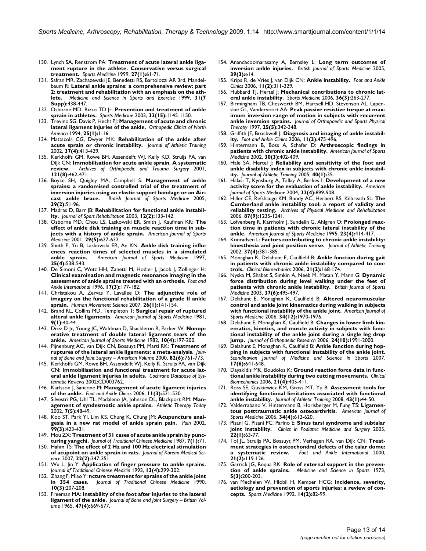- 130. Lynch SA, Renstrom PA: **[Treatment of acute lateral ankle liga](http://www.ncbi.nlm.nih.gov/entrez/query.fcgi?cmd=Retrieve&db=PubMed&dopt=Abstract&list_uids=10028133)[ment rupture in the athlete. Conservative versus surgical](http://www.ncbi.nlm.nih.gov/entrez/query.fcgi?cmd=Retrieve&db=PubMed&dopt=Abstract&list_uids=10028133) [treatment.](http://www.ncbi.nlm.nih.gov/entrez/query.fcgi?cmd=Retrieve&db=PubMed&dopt=Abstract&list_uids=10028133)** *Sports Medicine* 1999, **27(1):**61-71.
- 131. Safran MR, Zachazewski JE, Benedetti RS, Bartolozzi AR 3rd, Mandelbaum R: **Lateral ankle sprains: a comprehensive review: part 2: treatment and rehabilitation with an emphasis on the athlete.** *Medicine and Science in Sports and Exercise* 1999, **31(7 Supp):**438-447.
- 132. Osborne MD, Rizzo TD Jr: **[Prevention and treatment of ankle](http://www.ncbi.nlm.nih.gov/entrez/query.fcgi?cmd=Retrieve&db=PubMed&dopt=Abstract&list_uids=14719982) [sprain in athletes.](http://www.ncbi.nlm.nih.gov/entrez/query.fcgi?cmd=Retrieve&db=PubMed&dopt=Abstract&list_uids=14719982)** *Sports Medicine* 2003, **33(15):**1145-1150.
- 133. Trevino SG, Davis P, Hecht PJ: **[Management of acute and chronic](http://www.ncbi.nlm.nih.gov/entrez/query.fcgi?cmd=Retrieve&db=PubMed&dopt=Abstract&list_uids=8290222) [lateral ligament injuries of the ankle.](http://www.ncbi.nlm.nih.gov/entrez/query.fcgi?cmd=Retrieve&db=PubMed&dopt=Abstract&list_uids=8290222)** *Orthopedic Clinics of North America* 1994, **25(1):**1-16.
- 134. Mattacola CG, Dwyer MK: **[Rehabilitation of the ankle after](http://www.ncbi.nlm.nih.gov/entrez/query.fcgi?cmd=Retrieve&db=PubMed&dopt=Abstract&list_uids=12937563) [acute sprain or chronic instability.](http://www.ncbi.nlm.nih.gov/entrez/query.fcgi?cmd=Retrieve&db=PubMed&dopt=Abstract&list_uids=12937563)** *Journal of Athletic Training* 2002, **37(4):**413-429.
- 135. Kerkhoffs GM, Rowe BH, Assendelft WJ, Kelly KD, Struijs PA, van Dijk CN: **Immobilisation for acute ankle sprain. A systematic review.** *Archives of Orthopaedic and Trauma Surgery* 2001, **121(8):**462-471.
- 136. Boyce SH, Quigley MA, Campbell S: **[Management of ankle](http://www.ncbi.nlm.nih.gov/entrez/query.fcgi?cmd=Retrieve&db=PubMed&dopt=Abstract&list_uids=15665204) [sprains: a randomised controlled trial of the treatment of](http://www.ncbi.nlm.nih.gov/entrez/query.fcgi?cmd=Retrieve&db=PubMed&dopt=Abstract&list_uids=15665204) inversion injuries using an elastic support bandage or an Air[cast ankle brace.](http://www.ncbi.nlm.nih.gov/entrez/query.fcgi?cmd=Retrieve&db=PubMed&dopt=Abstract&list_uids=15665204)** *British Journal of Sports Medicine* 2005, **39(2):**91-96.
- 137. Madras D, Barr JB: **Rehabilitation for functional ankle instability.** *Journal of Sport Rehabilitation* 2003, **12(2):**133-142.
- 138. Osborne MD, Chou LS, Laskowski ER, Smith J, Kaufman KR: **[The](http://www.ncbi.nlm.nih.gov/entrez/query.fcgi?cmd=Retrieve&db=PubMed&dopt=Abstract&list_uids=11573922) [effect of ankle disk training on muscle reaction time in sub](http://www.ncbi.nlm.nih.gov/entrez/query.fcgi?cmd=Retrieve&db=PubMed&dopt=Abstract&list_uids=11573922)[jects with a history of ankle sprain.](http://www.ncbi.nlm.nih.gov/entrez/query.fcgi?cmd=Retrieve&db=PubMed&dopt=Abstract&list_uids=11573922)** *American Journal of Sports Medicine* 2001, **29(5):**627-632.
- 139. Sheth P, Yu B, Laskowski ER, An KN: **[Ankle disk training influ](http://www.ncbi.nlm.nih.gov/entrez/query.fcgi?cmd=Retrieve&db=PubMed&dopt=Abstract&list_uids=9240989)[ences reaction times of selected muscles in a simulated](http://www.ncbi.nlm.nih.gov/entrez/query.fcgi?cmd=Retrieve&db=PubMed&dopt=Abstract&list_uids=9240989) [ankle sprain.](http://www.ncbi.nlm.nih.gov/entrez/query.fcgi?cmd=Retrieve&db=PubMed&dopt=Abstract&list_uids=9240989)** *American Journal of Sports Medicine* 1997, **25(4):**538-543.
- 140. De Simoni C, Wetz HH, Zanetti M, Hodler J, Jacob J, Zollinger H: **Clinical examination and magnetic resonance imaging in the assessment of ankle sprains treated with an orthosis.** *Foot and Ankle International* 1996, **17(3):**177-182.
- 141. Christakou A, Zervas Y, Lavallee D: **[The adjunctive role of](http://www.ncbi.nlm.nih.gov/entrez/query.fcgi?cmd=Retrieve&db=PubMed&dopt=Abstract&list_uids=17050021) [imagery on the functional rehabilitation of a grade II ankle](http://www.ncbi.nlm.nih.gov/entrez/query.fcgi?cmd=Retrieve&db=PubMed&dopt=Abstract&list_uids=17050021) [sprain.](http://www.ncbi.nlm.nih.gov/entrez/query.fcgi?cmd=Retrieve&db=PubMed&dopt=Abstract&list_uids=17050021)** *Human Movement Science* 2007, **26(1):**141-154.
- 142. Brand RL, Collins MD, Templeton T: **[Surgical repair of ruptured](http://www.ncbi.nlm.nih.gov/entrez/query.fcgi?cmd=Retrieve&db=PubMed&dopt=Abstract&list_uids=7468896) [alteral ankle ligaments.](http://www.ncbi.nlm.nih.gov/entrez/query.fcgi?cmd=Retrieve&db=PubMed&dopt=Abstract&list_uids=7468896)** *American Journal of Sports Medicine* 1981, **9(1):**40-44.
- 143. Drez D Jr, Young JC, Waldman D, Shackleton R, Parker W: **[Nonop](http://www.ncbi.nlm.nih.gov/entrez/query.fcgi?cmd=Retrieve&db=PubMed&dopt=Abstract&list_uids=7125039)[erative treatment of double lateral ligament tears of the](http://www.ncbi.nlm.nih.gov/entrez/query.fcgi?cmd=Retrieve&db=PubMed&dopt=Abstract&list_uids=7125039) [ankle.](http://www.ncbi.nlm.nih.gov/entrez/query.fcgi?cmd=Retrieve&db=PubMed&dopt=Abstract&list_uids=7125039)** *American Journal of Sports Medicine* 1982, **10(4):**197-200.
- 144. Pijnenburg AC, van Dijk CN, Bossuyt PM, Marti RK: **Treatment of ruptures of the lateral ankle ligaments: a meta-analysis.** *Journal of Bone and Joint Surgery – American Volume* 2000, **82(6):**761-773.
- 145. Kerkhoffs GM, Rowe BH, Assendelft WJ, Kelly K, Struijs PA, van Dijk CN: **Immobilisation and functional treatment for acute lateral ankle ligament injuries in adults.** *Cochrane Database of Systematic Reviews* 2002:CD003762.
- 146. Karlsson J, Sancone M: **Management of acute ligament injuries of the ankle.** *Foot and Ankle Clinics* 2006, **11(3):**521-530.
- 147. Silvestri PG, Uhl TL, Madaleno JA, Johnson DL, Blackport RM: **Management of syndesmotic ankle sprains.** *Athletic Therapy Today* 2002, **7(5):**48-49.
- 148. Koo ST, Park YI, Lim KS, Chung K, Chung JM: **[Acupuncture anal](http://www.ncbi.nlm.nih.gov/entrez/query.fcgi?cmd=Retrieve&db=PubMed&dopt=Abstract&list_uids=12406517)[gesia in a new rat model of ankle sprain pain.](http://www.ncbi.nlm.nih.gov/entrez/query.fcgi?cmd=Retrieve&db=PubMed&dopt=Abstract&list_uids=12406517)** *Pain* 2002, **99(3):**423-431.
- 149. Mou ZX: **[Treatment of 31 cases of acute ankle sprain by punc](http://www.ncbi.nlm.nih.gov/entrez/query.fcgi?cmd=Retrieve&db=PubMed&dopt=Abstract&list_uids=3613643)[turing yangchi.](http://www.ncbi.nlm.nih.gov/entrez/query.fcgi?cmd=Retrieve&db=PubMed&dopt=Abstract&list_uids=3613643)** *Journal of Traditional Chinese Medicine* 1987, **7(1):**71.
- 150. Hahm TS: **[The effect of 2 Hz and 100 Hz electrical stimulation](http://www.ncbi.nlm.nih.gov/entrez/query.fcgi?cmd=Retrieve&db=PubMed&dopt=Abstract&list_uids=17449948) [of acupoint on ankle sprain in rats.](http://www.ncbi.nlm.nih.gov/entrez/query.fcgi?cmd=Retrieve&db=PubMed&dopt=Abstract&list_uids=17449948)** *Journal of Korean Medical Science* 2007, **22(2):**347-351.
- 151. Wu L, Jin Y: **Application of finger pressure to ankle sprains.** *Journal of Traditional Chinese Medicin* 1993, **13(4):**299-302.
- 152. Zhang F, Miao Y: **[ncture treatment for sprains of the ankle joint](http://www.ncbi.nlm.nih.gov/entrez/query.fcgi?cmd=Retrieve&db=PubMed&dopt=Abstract&list_uids=2277522) [in 354 cases.](http://www.ncbi.nlm.nih.gov/entrez/query.fcgi?cmd=Retrieve&db=PubMed&dopt=Abstract&list_uids=2277522)** *Journal of Traditional Chinese Medicine* 1990, **10(3):**207-208.
- 153. Freeman MA: **Instability of the foot after injuries to the lateral ligament of the ankle.** *Journal of Bone and Joint Surgery – British Volume* 1965, **47(4):**669-677.
- 154. Anandacoomarasamy A, Barnsley L: **[Long term outcomes of](http://www.ncbi.nlm.nih.gov/entrez/query.fcgi?cmd=Retrieve&db=PubMed&dopt=Abstract&list_uids=15728682) [inversion ankle injuries.](http://www.ncbi.nlm.nih.gov/entrez/query.fcgi?cmd=Retrieve&db=PubMed&dopt=Abstract&list_uids=15728682)** *British Journal of Sports Medicine* 2005, **39(3):**e14.
- 155. Krips R, de Vries J, van Dijk CN: **Ankle instability.** *Foot and Ankle Clinics* 2006, **11(2):**311-329.
- 156. Hubbard TJ, Hertel J: **[Mechanical contributions to chronic lat](http://www.ncbi.nlm.nih.gov/entrez/query.fcgi?cmd=Retrieve&db=PubMed&dopt=Abstract&list_uids=16526836)[eral ankle instability.](http://www.ncbi.nlm.nih.gov/entrez/query.fcgi?cmd=Retrieve&db=PubMed&dopt=Abstract&list_uids=16526836)** *Sports Medicine* 2006, **36(3):**263-277.
- 157. Birmingham TB, Chesworth BM, Hartsell HD, Stevenson AL, Lapenskie GL, Vandervoort AA: **Peak passive resistive torque at maximum inversion range of motion in subjects with recurrent ankle inversion sprains.** *Journal of Orthopaedic and Sports Physical Therapy* 1997, **25(5):**342-348.
- 158. Griffith JF, Brockwell J: **Diagnosis and imaging of ankle instability.** *Foot and Ankle Clinics* 2006, **11(3):**475-496.
- 159. Hintermann B, Boss A, Schafer D: **[Arthroscopic findings in](http://www.ncbi.nlm.nih.gov/entrez/query.fcgi?cmd=Retrieve&db=PubMed&dopt=Abstract&list_uids=12016082) [patients with chronic ankle instability.](http://www.ncbi.nlm.nih.gov/entrez/query.fcgi?cmd=Retrieve&db=PubMed&dopt=Abstract&list_uids=12016082)** *American Journal of Sports Medicine* 2002, **30(3):**402-409.
- 160. Hale SA, Hertel J: **[Reliability and sensitivity of the foot and](http://www.ncbi.nlm.nih.gov/entrez/query.fcgi?cmd=Retrieve&db=PubMed&dopt=Abstract&list_uids=15902322) [ankle disability index in subjects with chronic ankle instabil](http://www.ncbi.nlm.nih.gov/entrez/query.fcgi?cmd=Retrieve&db=PubMed&dopt=Abstract&list_uids=15902322)[ity.](http://www.ncbi.nlm.nih.gov/entrez/query.fcgi?cmd=Retrieve&db=PubMed&dopt=Abstract&list_uids=15902322)** *Journal of Athletic Training* 2005, **40(1):**35.
- 161. Halasi T, Kynsburg A, Tallay A, Berkes I: **[Development of a new](http://www.ncbi.nlm.nih.gov/entrez/query.fcgi?cmd=Retrieve&db=PubMed&dopt=Abstract&list_uids=15150035) [activity score for the evaluation of ankle instability.](http://www.ncbi.nlm.nih.gov/entrez/query.fcgi?cmd=Retrieve&db=PubMed&dopt=Abstract&list_uids=15150035)** *American Journal of Sports Medicine* 2004, **32(4):**899-908.
- 162. Hiller CE, Refshauge KM, Bundy AC, Herbert RS, Kilbreath SL: **The Cumberland ankle instability tool: a report of validity and reliability testing.** *Archives of Physical Medicine and Rehabilitation* 2006, **87(9):**1235-1241.
- 163. Lofvenberg R, Karrholm J, Sundelin G, Ahlgren O: **[Prolonged reac](http://www.ncbi.nlm.nih.gov/entrez/query.fcgi?cmd=Retrieve&db=PubMed&dopt=Abstract&list_uids=7573649)[tion time in patients with chronic lateral instability of the](http://www.ncbi.nlm.nih.gov/entrez/query.fcgi?cmd=Retrieve&db=PubMed&dopt=Abstract&list_uids=7573649) [ankle.](http://www.ncbi.nlm.nih.gov/entrez/query.fcgi?cmd=Retrieve&db=PubMed&dopt=Abstract&list_uids=7573649)** *American Journal of Sports Medicine* 1995, **23(4):**414-417.
- 164. Konradsen L: **[Factors contributing to chronic ankle instability:](http://www.ncbi.nlm.nih.gov/entrez/query.fcgi?cmd=Retrieve&db=PubMed&dopt=Abstract&list_uids=12937559) [kinesthesia and joint position sense.](http://www.ncbi.nlm.nih.gov/entrez/query.fcgi?cmd=Retrieve&db=PubMed&dopt=Abstract&list_uids=12937559)** *Journal of Athletic Training* 2002, **37(4):**381-385.
- 165. Monaghan K, Delahunt E, Caulfield B: **[Ankle function during gait](http://www.ncbi.nlm.nih.gov/entrez/query.fcgi?cmd=Retrieve&db=PubMed&dopt=Abstract&list_uids=16269208) [in patients with chronic ankle instability compared to con](http://www.ncbi.nlm.nih.gov/entrez/query.fcgi?cmd=Retrieve&db=PubMed&dopt=Abstract&list_uids=16269208)[trols.](http://www.ncbi.nlm.nih.gov/entrez/query.fcgi?cmd=Retrieve&db=PubMed&dopt=Abstract&list_uids=16269208)** *Clinical Biomechanics* 2006, **21(2):**168-174.
- 166. Nyska M, Shabat S, Simkin A, Neeb M, Matan Y, Mann G: **[Dynamic](http://www.ncbi.nlm.nih.gov/entrez/query.fcgi?cmd=Retrieve&db=PubMed&dopt=Abstract&list_uids=14665586) [force distribution during level walking under the feet of](http://www.ncbi.nlm.nih.gov/entrez/query.fcgi?cmd=Retrieve&db=PubMed&dopt=Abstract&list_uids=14665586) [patients with chronic ankle instability.](http://www.ncbi.nlm.nih.gov/entrez/query.fcgi?cmd=Retrieve&db=PubMed&dopt=Abstract&list_uids=14665586)** *British Journal of Sports Medicine* 2003, **37(6):**495-497.
- 167. Delahunt E, Monaghan K, Caulfield B: **[Altered neuromuscular](http://www.ncbi.nlm.nih.gov/entrez/query.fcgi?cmd=Retrieve&db=PubMed&dopt=Abstract&list_uids=16926342) [control and ankle joint kinematics during walking in subjects](http://www.ncbi.nlm.nih.gov/entrez/query.fcgi?cmd=Retrieve&db=PubMed&dopt=Abstract&list_uids=16926342) [with functional instability of the ankle joint.](http://www.ncbi.nlm.nih.gov/entrez/query.fcgi?cmd=Retrieve&db=PubMed&dopt=Abstract&list_uids=16926342)** *American Journal of Sports Medicine* 2006, **34(12):**1970-1976.
- 168. Delahunt E, Monaghan K, Caulfield B: **[Changes in lower limb kin](http://www.ncbi.nlm.nih.gov/entrez/query.fcgi?cmd=Retrieve&db=PubMed&dopt=Abstract&list_uids=16894592)[ematics, kinetics, and muscle activity in subjects with func](http://www.ncbi.nlm.nih.gov/entrez/query.fcgi?cmd=Retrieve&db=PubMed&dopt=Abstract&list_uids=16894592)tional instability of the ankle joint during a single leg drop [jump.](http://www.ncbi.nlm.nih.gov/entrez/query.fcgi?cmd=Retrieve&db=PubMed&dopt=Abstract&list_uids=16894592)** *Journal of Orthopaedic Research* 2006, **24(10):**1991-2000.
- 169. Delahunt E, Monaghan K, Caulfield B: **Ankle function during hopping in subjects with functional instability of the ankle joint.** *Scandinavian Journal of Medicine and Science in Sports* 2007, **17(6):**641-648.
- 170. Dayakidis MK, Boudolos K: **[Ground reaction force data in func](http://www.ncbi.nlm.nih.gov/entrez/query.fcgi?cmd=Retrieve&db=PubMed&dopt=Abstract&list_uids=16427165)[tional ankle instability during two cutting movements.](http://www.ncbi.nlm.nih.gov/entrez/query.fcgi?cmd=Retrieve&db=PubMed&dopt=Abstract&list_uids=16427165)** *Clinical Biomechanics* 2006, **21(4):**405-411.
- 171. Ross SE, Guskiewicz KM, Gross MT, Yu B: **[Assessment tools for](http://www.ncbi.nlm.nih.gov/entrez/query.fcgi?cmd=Retrieve&db=PubMed&dopt=Abstract&list_uids=18335012) [identifying functional limitations associated with functional](http://www.ncbi.nlm.nih.gov/entrez/query.fcgi?cmd=Retrieve&db=PubMed&dopt=Abstract&list_uids=18335012) [ankle instability.](http://www.ncbi.nlm.nih.gov/entrez/query.fcgi?cmd=Retrieve&db=PubMed&dopt=Abstract&list_uids=18335012)** *Journal of Athletic Training* 2008, **43(1):**44-50.
- 172. Valderrabano V, Hintermann B, Horisberger M, Fung TS: **[Ligamen](http://www.ncbi.nlm.nih.gov/entrez/query.fcgi?cmd=Retrieve&db=PubMed&dopt=Abstract&list_uids=16303875)[tous posttraumatic ankle osteoarthritis.](http://www.ncbi.nlm.nih.gov/entrez/query.fcgi?cmd=Retrieve&db=PubMed&dopt=Abstract&list_uids=16303875)** *American Journal of Sports Medicine* 2006, **34(4):**612-620.
- 173. Pisani G, Pisani PC, Parino E: **Sinus tarsi syndrome and subtalar joint instability.** *Clinics in Podiatric Medicine and Surgery* 2005, **22(1):**63-77.
- 174. Tol JL, Struijs PA, Bossuyt PM, Verhagen RA, van Dijk CN: **Treatment strategies in osteochondral defects of the talar dome: a systematic review.** *Foot and Ankle International* 2000, **21(2):**119-126.
- 175. Garrick JG, Requa RK: **Role of external support in the prevention of ankle sprains.** *Medicine and Science in Sports* 1973, **5(3):**200-203.
- 176. van Mechelen W, Hlobil H, Kemper HCG: **[Incidence, severity,](http://www.ncbi.nlm.nih.gov/entrez/query.fcgi?cmd=Retrieve&db=PubMed&dopt=Abstract&list_uids=1509229) [aetiology and prevention of sports injuries: a review of con](http://www.ncbi.nlm.nih.gov/entrez/query.fcgi?cmd=Retrieve&db=PubMed&dopt=Abstract&list_uids=1509229)[cepts.](http://www.ncbi.nlm.nih.gov/entrez/query.fcgi?cmd=Retrieve&db=PubMed&dopt=Abstract&list_uids=1509229)** *Sports Medicine* 1992, **14(2):**82-99.